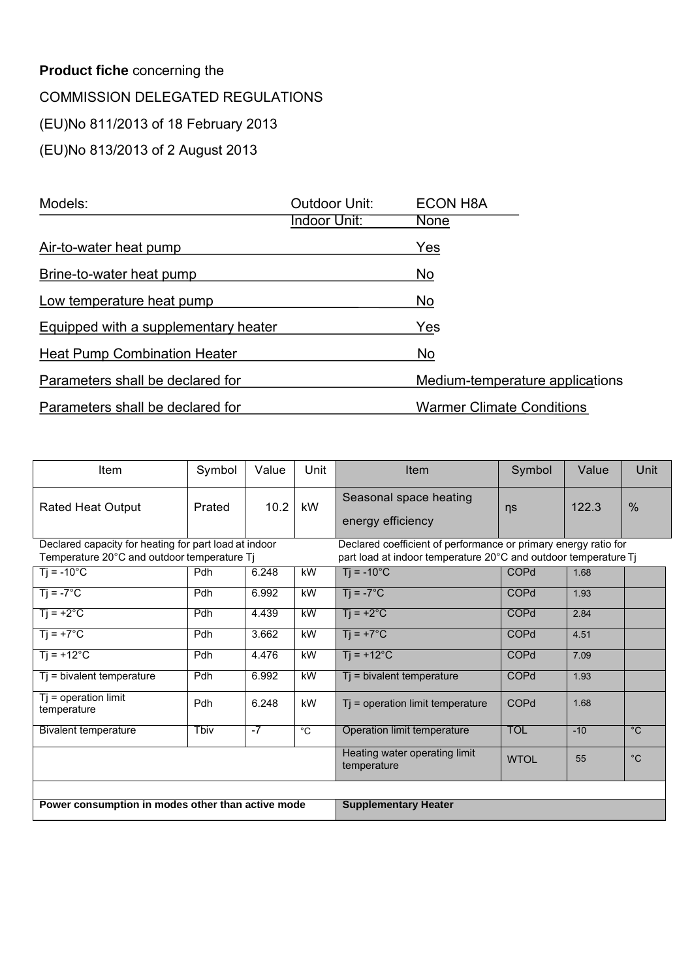### **Product fiche** concerning the COMMISSION DELEGATED REGULATIONS (EU)No 811/2013 of 18 February 2013 (EU)No 813/2013 of 2 August 2013

| Models:                              | Outdoor Unit: | <b>ECON H8A</b>                  |
|--------------------------------------|---------------|----------------------------------|
|                                      | Indoor Unit:  | None                             |
| Air-to-water heat pump               |               | Yes                              |
| Brine-to-water heat pump             |               | No                               |
| Low temperature heat pump            |               | No                               |
| Equipped with a supplementary heater |               | Yes                              |
| <b>Heat Pump Combination Heater</b>  |               | No                               |
| Parameters shall be declared for     |               | Medium-temperature applications  |
| Parameters shall be declared for     |               | <b>Warmer Climate Conditions</b> |

| Item                                                  | Symbol     | Value | Unit           | Item                                                            | Symbol      | Value | Unit           |
|-------------------------------------------------------|------------|-------|----------------|-----------------------------------------------------------------|-------------|-------|----------------|
| <b>Rated Heat Output</b>                              | Prated     | 10.2  | kW             | Seasonal space heating<br>energy efficiency                     | ns          | 122.3 | %              |
| Declared capacity for heating for part load at indoor |            |       |                | Declared coefficient of performance or primary energy ratio for |             |       |                |
| Temperature 20°C and outdoor temperature Tj           |            |       |                | part load at indoor temperature 20°C and outdoor temperature Tj |             |       |                |
| $Tj = -10^{\circ}C$                                   | <b>Pdh</b> | 6.248 | kW             | $Ti = -10^{\circ}C$                                             | COPd        | 1.68  |                |
| $Ti = -7^{\circ}C$                                    | <b>Pdh</b> | 6.992 | kW             | $Ti = -7^{\circ}C$                                              | <b>COPd</b> | 1.93  |                |
| $Tj = +2°C$                                           | Pdh        | 4.439 | kW             | $Ti = +2^{\circ}C$                                              | <b>COPd</b> | 2.84  |                |
| $Ti = +7^{\circ}C$                                    | <b>Pdh</b> | 3.662 | kW             | $Ti = +7^{\circ}C$                                              | <b>COPd</b> | 4.51  |                |
| $Ti = +12^{\circ}C$                                   | <b>Pdh</b> | 4.476 | kW             | $Ti = +12^{\circ}C$                                             | <b>COPd</b> | 7.09  |                |
| $Tj$ = bivalent temperature                           | Pdh        | 6.992 | kW             | $\overline{T}$ = bivalent temperature                           | <b>COPd</b> | 1.93  |                |
| $Tj = operation$ limit<br>temperature                 | Pdh        | 6.248 | kW             | $Ti = operation$ limit temperature                              | <b>COPd</b> | 1.68  |                |
| <b>Bivalent temperature</b>                           | Tbiv       | $-7$  | $\overline{c}$ | Operation limit temperature                                     | <b>TOL</b>  | $-10$ | $\overline{C}$ |
|                                                       |            |       |                | Heating water operating limit<br>temperature                    | <b>WTOL</b> | 55    | $^{\circ}C$    |
| Power consumption in modes other than active mode     |            |       |                | <b>Supplementary Heater</b>                                     |             |       |                |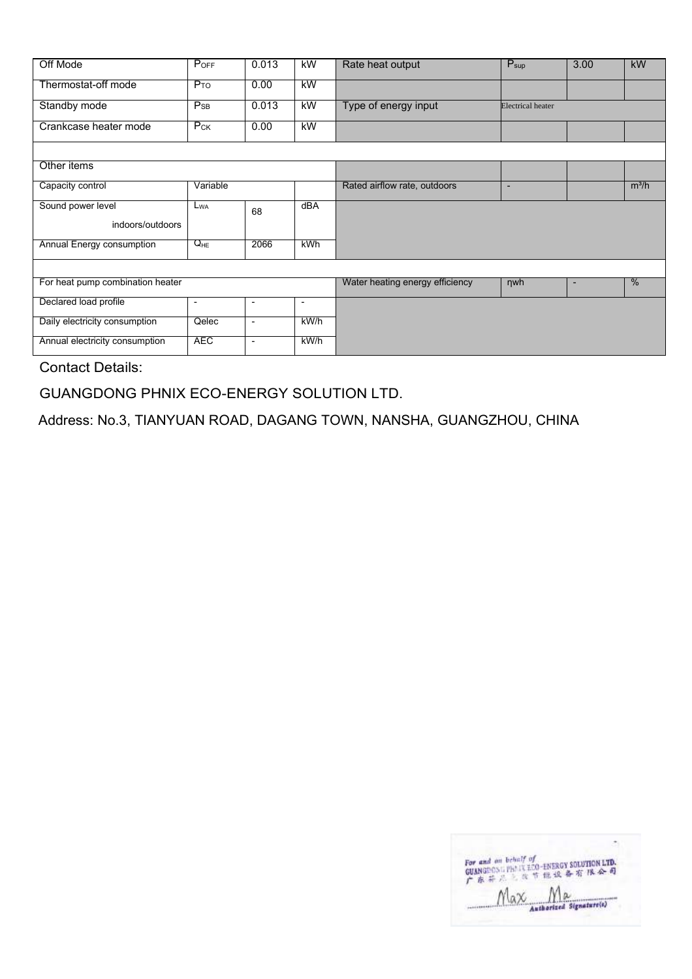| Off Mode                         | POFF            | 0.013                    | kW                       | Rate heat output                | $P_{\text{sup}}$         | 3.00 | kW      |
|----------------------------------|-----------------|--------------------------|--------------------------|---------------------------------|--------------------------|------|---------|
| Thermostat-off mode              | $P_{TO}$        | 0.00                     | kW                       |                                 |                          |      |         |
| Standby mode                     | $P_{SB}$        | 0.013                    | kW                       | Type of energy input            | <b>Electrical</b> heater |      |         |
| Crankcase heater mode            | $P_{CK}$        | 0.00                     | kW                       |                                 |                          |      |         |
|                                  |                 |                          |                          |                                 |                          |      |         |
| Other items                      |                 |                          |                          |                                 |                          |      |         |
| Capacity control                 | Variable        |                          |                          | Rated airflow rate, outdoors    | $\overline{\phantom{a}}$ |      | $m^3/h$ |
| Sound power level                | L <sub>WA</sub> | 68                       | dBA                      |                                 |                          |      |         |
| indoors/outdoors                 |                 |                          |                          |                                 |                          |      |         |
| Annual Energy consumption        | $Q_{HE}$        | 2066                     | kWh                      |                                 |                          |      |         |
|                                  |                 |                          |                          |                                 |                          |      |         |
| For heat pump combination heater |                 |                          |                          | Water heating energy efficiency | <b>nwh</b>               | ٠    | %       |
| Declared load profile            | -               | $\overline{\phantom{a}}$ | $\overline{\phantom{a}}$ |                                 |                          |      |         |
| Daily electricity consumption    | Qelec           | $\blacksquare$           | kW/h                     |                                 |                          |      |         |
| Annual electricity consumption   | <b>AEC</b>      | $\blacksquare$           | kW/h                     |                                 |                          |      |         |

GUANGDONG PHNIX ECO-ENERGY SOLUTION LTD.

Address: No.3, TIANYUAN ROAD, DAGANG TOWN, NANSHA, GUANGZHOU, CHINA

| For and on behalf of<br>GUANGROSSIPHLIX ECO-ENERGY SOLUTION LTD.<br>广东并是 医节能设备有限会同 |
|------------------------------------------------------------------------------------|
| uthorized Signature(s)                                                             |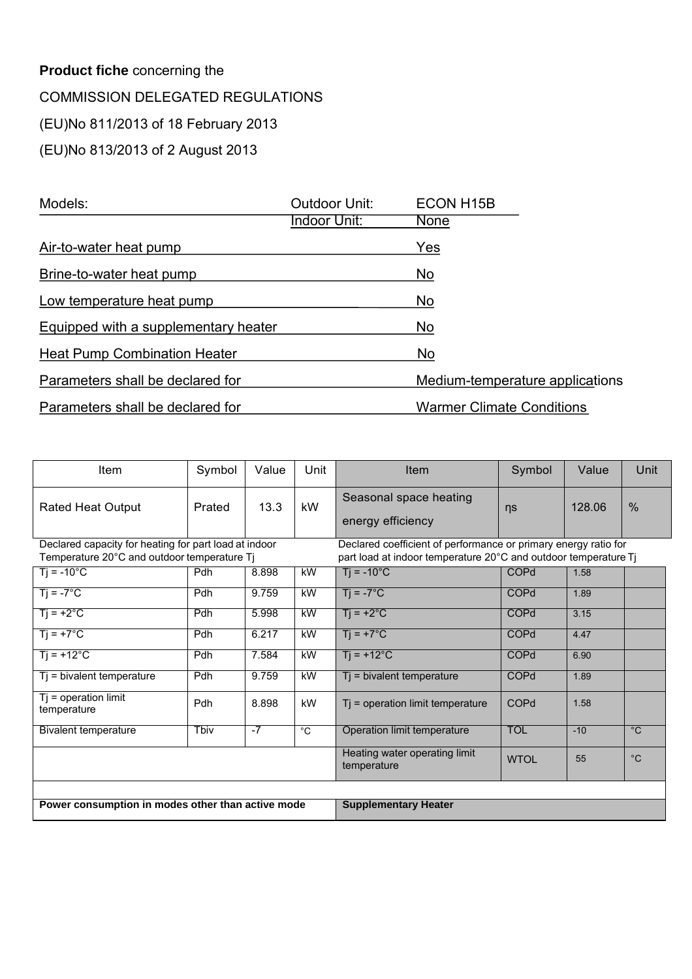### **Product fiche** concerning the COMMISSION DELEGATED REGULATIONS (EU)No 811/2013 of 18 February 2013 (EU)No 813/2013 of 2 August 2013

| Models:                              | Outdoor Unit: | ECON H <sub>15</sub> B           |
|--------------------------------------|---------------|----------------------------------|
|                                      | Indoor Unit:  | None                             |
| Air-to-water heat pump               |               | Yes                              |
| Brine-to-water heat pump             |               | No                               |
| Low temperature heat pump            |               | No                               |
| Equipped with a supplementary heater |               | No                               |
| <b>Heat Pump Combination Heater</b>  |               | <b>No</b>                        |
| Parameters shall be declared for     |               | Medium-temperature applications  |
| Parameters shall be declared for     |               | <b>Warmer Climate Conditions</b> |

| Item                                                  | Symbol     | Value | Unit           | Item                                                            | Symbol      | Value  | Unit           |
|-------------------------------------------------------|------------|-------|----------------|-----------------------------------------------------------------|-------------|--------|----------------|
| <b>Rated Heat Output</b>                              | Prated     | 13.3  | kW             | Seasonal space heating<br>energy efficiency                     | ns          | 128.06 | %              |
| Declared capacity for heating for part load at indoor |            |       |                | Declared coefficient of performance or primary energy ratio for |             |        |                |
| Temperature 20°C and outdoor temperature Tj           |            |       |                | part load at indoor temperature 20°C and outdoor temperature Tj |             |        |                |
| $Tj = -10^{\circ}C$                                   | <b>Pdh</b> | 8.898 | kW             | $Ti = -10^{\circ}C$                                             | COPd        | 1.58   |                |
| $Ti = -7^{\circ}C$                                    | <b>Pdh</b> | 9.759 | kW             | $Ti = -7^{\circ}C$                                              | <b>COPd</b> | 1.89   |                |
| $Tj = +2°C$                                           | Pdh        | 5.998 | kW             | $Ti = +2^{\circ}C$                                              | <b>COPd</b> | 3.15   |                |
| $Ti = +7^{\circ}C$                                    | <b>Pdh</b> | 6.217 | kW             | $Ti = +7^{\circ}C$                                              | <b>COPd</b> | 4.47   |                |
| $Ti = +12^{\circ}C$                                   | <b>Pdh</b> | 7.584 | kW             | $Ti = +12^{\circ}C$                                             | <b>COPd</b> | 6.90   |                |
| $Tj$ = bivalent temperature                           | Pdh        | 9.759 | kW             | $\overline{T}$ = bivalent temperature                           | <b>COPd</b> | 1.89   |                |
| $Tj = operation$ limit<br>temperature                 | Pdh        | 8.898 | kW             | $Ti = operation$ limit temperature                              | <b>COPd</b> | 1.58   |                |
| <b>Bivalent temperature</b>                           | Tbiv       | $-7$  | $\overline{c}$ | Operation limit temperature                                     | <b>TOL</b>  | $-10$  | $\overline{C}$ |
|                                                       |            |       |                | Heating water operating limit<br>temperature                    | <b>WTOL</b> | 55     | $^{\circ}C$    |
| Power consumption in modes other than active mode     |            |       |                | <b>Supplementary Heater</b>                                     |             |        |                |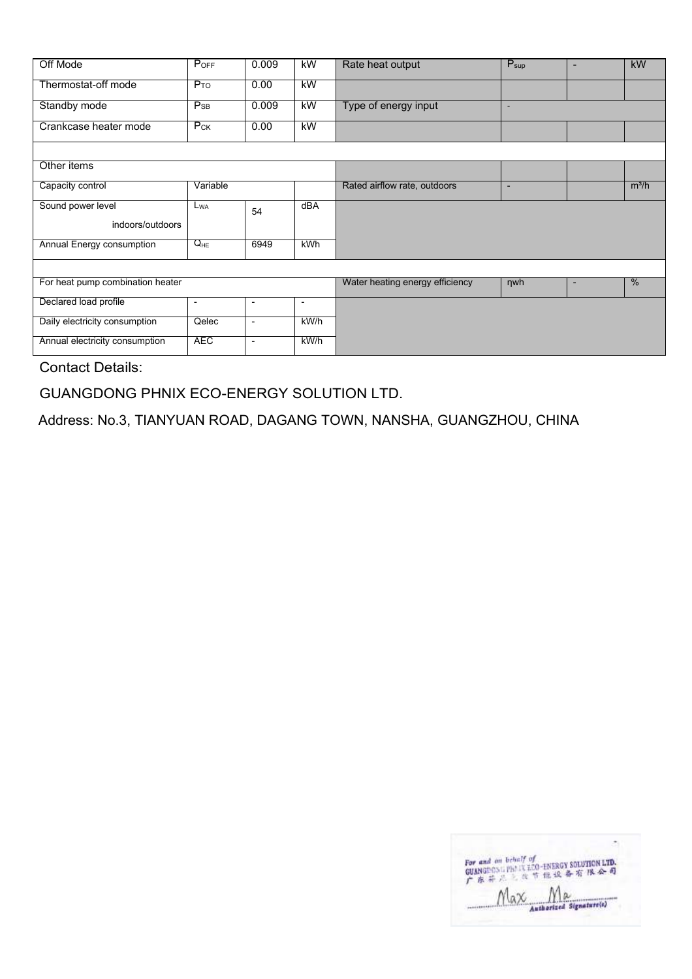| Off Mode                         | POFF                     | 0.009                    | kW                       | Rate heat output                | $P_{\text{sup}}$         | $\blacksquare$ | kW      |
|----------------------------------|--------------------------|--------------------------|--------------------------|---------------------------------|--------------------------|----------------|---------|
| Thermostat-off mode              | $P_{TO}$                 | 0.00                     | kW                       |                                 |                          |                |         |
| Standby mode                     | $P_{SB}$                 | 0.009                    | kW                       | Type of energy input            | ٠                        |                |         |
| Crankcase heater mode            | $P_{CK}$                 | 0.00                     | kW                       |                                 |                          |                |         |
|                                  |                          |                          |                          |                                 |                          |                |         |
| Other items                      |                          |                          |                          |                                 |                          |                |         |
| Capacity control                 | Variable                 |                          |                          | Rated airflow rate, outdoors    | $\overline{\phantom{a}}$ |                | $m^3/h$ |
| Sound power level                | $L_{WA}$                 | 54                       | dBA                      |                                 |                          |                |         |
| indoors/outdoors                 |                          |                          |                          |                                 |                          |                |         |
| Annual Energy consumption        | $Q_{HE}$                 | 6949                     | kWh                      |                                 |                          |                |         |
|                                  |                          |                          |                          |                                 |                          |                |         |
| For heat pump combination heater |                          |                          |                          | Water heating energy efficiency | <b>nwh</b>               | ٠              | %       |
| Declared load profile            | $\overline{\phantom{0}}$ | $\overline{\phantom{a}}$ | $\overline{\phantom{a}}$ |                                 |                          |                |         |
| Daily electricity consumption    | Qelec                    | $\blacksquare$           | kW/h                     |                                 |                          |                |         |
| Annual electricity consumption   | <b>AEC</b>               | $\overline{\phantom{a}}$ | kW/h                     |                                 |                          |                |         |

GUANGDONG PHNIX ECO-ENERGY SOLUTION LTD.

Address: No.3, TIANYUAN ROAD, DAGANG TOWN, NANSHA, GUANGZHOU, CHINA

| For and on behalf of<br>GUANGROSSIPHLIX ECO-ENERGY SOLUTION LTD.<br>广东并是 医节能设备有限会同 |
|------------------------------------------------------------------------------------|
| uthorized Signature(s)                                                             |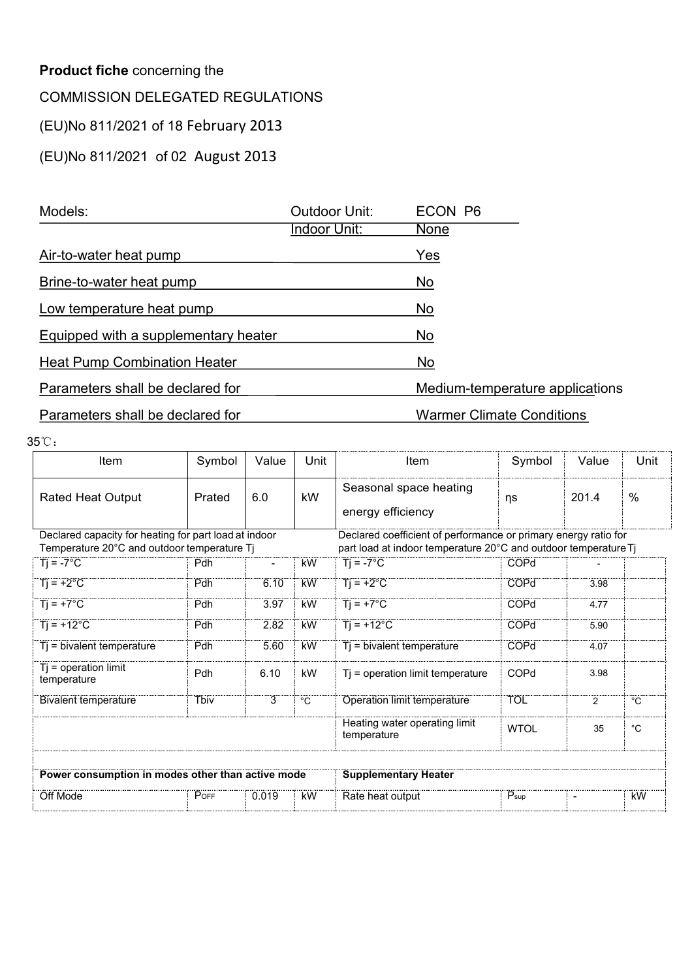| <b>Product fiche concerning the</b>     |        |       |                      |                            |                                  |       |      |
|-----------------------------------------|--------|-------|----------------------|----------------------------|----------------------------------|-------|------|
| <b>COMMISSION DELEGATED REGULATIONS</b> |        |       |                      |                            |                                  |       |      |
| (EU)No 811/2021 of 18 February 2013     |        |       |                      |                            |                                  |       |      |
| (EU)No 811/2021 of 02 August 2013       |        |       |                      |                            |                                  |       |      |
|                                         |        |       |                      |                            |                                  |       |      |
| Models:                                 |        |       | <b>Outdoor Unit:</b> | ECON P6                    |                                  |       |      |
|                                         |        |       | <b>Indoor Unit:</b>  | <b>None</b>                |                                  |       |      |
| Air-to-water heat pump                  |        |       |                      | Yes                        |                                  |       |      |
| Brine-to-water heat pump                |        |       |                      | No                         |                                  |       |      |
| Low temperature heat pump               |        |       |                      | No                         |                                  |       |      |
| Equipped with a supplementary heater    |        |       |                      | No                         |                                  |       |      |
| <b>Heat Pump Combination Heater</b>     |        |       |                      | No                         |                                  |       |      |
| Parameters shall be declared for        |        |       |                      |                            | Medium-temperature applications  |       |      |
| Parameters shall be declared for        |        |       |                      |                            | <b>Warmer Climate Conditions</b> |       |      |
| 5℃.                                     |        |       |                      |                            |                                  |       |      |
| Item                                    | Symbol | Value | Unit                 | Item                       | Symbol                           | Value | Unit |
|                                         |        |       |                      | Organization and the attac |                                  |       |      |

| Equipped with a supplementary heater                                                                 |             |                |             | No                                                                                                                                 |                          |                |                |
|------------------------------------------------------------------------------------------------------|-------------|----------------|-------------|------------------------------------------------------------------------------------------------------------------------------------|--------------------------|----------------|----------------|
| <b>Heat Pump Combination Heater</b>                                                                  |             |                |             | <b>No</b>                                                                                                                          |                          |                |                |
| Parameters shall be declared for                                                                     |             |                |             | Medium-temperature applications                                                                                                    |                          |                |                |
| Parameters shall be declared for                                                                     |             |                |             | <b>Warmer Climate Conditions</b>                                                                                                   |                          |                |                |
| 35°C:                                                                                                |             |                |             |                                                                                                                                    |                          |                |                |
| Item                                                                                                 | Symbol      | Value          | Unit        | Item                                                                                                                               | Symbol                   | Value          | Unit           |
| <b>Rated Heat Output</b>                                                                             | Prated      | 6.0            | kW          | Seasonal space heating<br>energy efficiency                                                                                        | ηs                       | 201.4          | $\%$           |
| Declared capacity for heating for part load at indoor<br>Temperature 20°C and outdoor temperature Tj |             |                |             | Declared coefficient of performance or primary energy ratio for<br>part load at indoor temperature 20°C and outdoor temperature Tj |                          |                |                |
| $Ti = -7^{\circ}C$                                                                                   | Pdh         | $\blacksquare$ | kW          | $Ti = -7^{\circ}C$                                                                                                                 | COPd                     |                |                |
| $Tj = +2°C$                                                                                          | <b>Pdh</b>  | 6.10           | kW          | $Tj = +2°C$                                                                                                                        | COPd                     | 3.98           |                |
| $Ti = +7^{\circ}C$                                                                                   | Pdh         | 3.97           | <b>kW</b>   | $Ti = +7^{\circ}C$                                                                                                                 | COPd                     | 4.77           |                |
| $Ti = +12^{\circ}C$                                                                                  | Pdh         | 2.82           | <b>kW</b>   | $Ti = +12^{\circ}C$                                                                                                                | COPd                     | 5.90           |                |
| $Tj = bivalent temperature$                                                                          | Pdh         | 5.60           | <b>kW</b>   | $Tj$ = bivalent temperature                                                                                                        | COPd                     | 4.07           |                |
| $Tj = operation$ limit<br>temperature                                                                | Pdh         | 6.10           | kW          | Tj = operation limit temperature                                                                                                   | COPd                     | 3.98           |                |
| <b>Bivalent temperature</b>                                                                          | <b>Thiv</b> | 3              | $^{\circ}C$ | <b>Operation limit temperature</b>                                                                                                 | <b>TOL</b>               | $\overline{2}$ | $\overline{C}$ |
|                                                                                                      |             |                |             | Heating water operating limit<br>temperature                                                                                       | <b>WTOL</b>              | 35             | $^{\circ}C$    |
| Power consumption in modes other than active mode                                                    |             |                |             | <b>Supplementary Heater</b>                                                                                                        |                          |                |                |
|                                                                                                      | POFF        | 0.019          | `kW         | Rate heat output                                                                                                                   | $\dddot{P}_{\text{sup}}$ | $\blacksquare$ | <b>KW</b>      |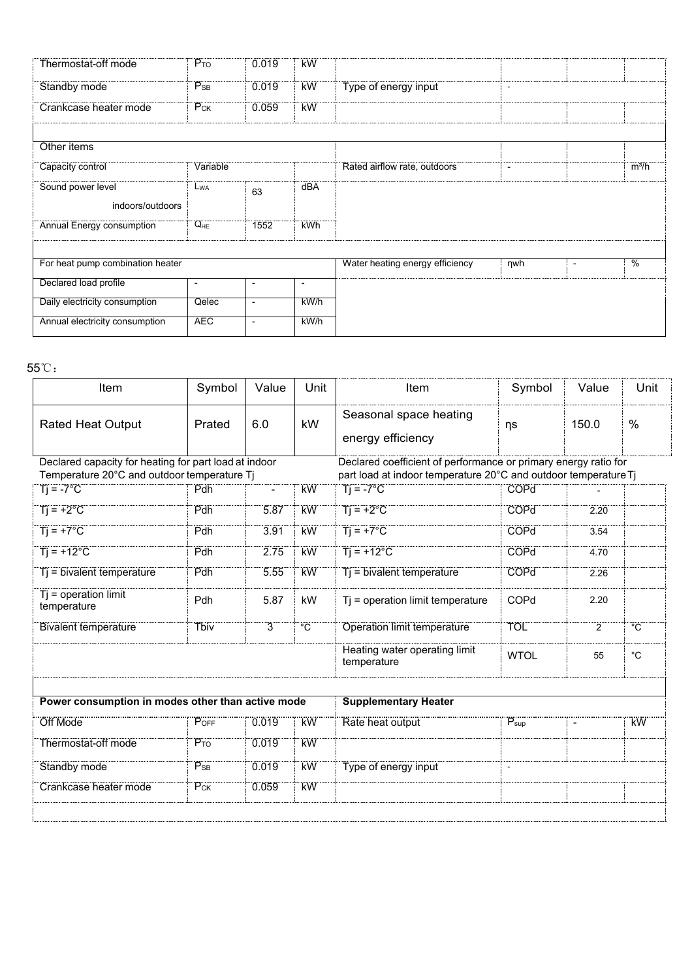| Thermostat-off mode              | $P_{TO}$                 | 0.019          | <b>kW</b>                |                                 |                          |                                           |
|----------------------------------|--------------------------|----------------|--------------------------|---------------------------------|--------------------------|-------------------------------------------|
| Standby mode                     | $P_{SB}$                 | 0.019          | <b>kW</b>                | Type of energy input            | $\sim$                   |                                           |
| Crankcase heater mode            | $P_{CK}$                 | 0.059          | kW                       |                                 |                          |                                           |
|                                  |                          |                |                          |                                 |                          |                                           |
| Other items                      |                          |                |                          |                                 |                          |                                           |
| Capacity control                 | Variable                 |                |                          | Rated airflow rate, outdoors    | $\overline{\phantom{a}}$ | $m^3/h$                                   |
| Sound power level                | L <sub>WA</sub>          | 63             | dBA                      |                                 |                          |                                           |
| indoors/outdoors                 |                          |                |                          |                                 |                          |                                           |
| <b>Annual Energy consumption</b> | $Q_{HE}$                 | 1552           | <b>kWh</b>               |                                 |                          |                                           |
|                                  |                          |                |                          |                                 |                          |                                           |
| For heat pump combination heater |                          |                |                          | Water heating energy efficiency | $\n  ny$                 | $\frac{0}{6}$<br>$\overline{\phantom{a}}$ |
| Declared load profile            | $\overline{\phantom{a}}$ | $\blacksquare$ | $\overline{\phantom{a}}$ |                                 |                          |                                           |
| Daily electricity consumption    | Qelec                    | $\blacksquare$ | kWh                      |                                 |                          |                                           |
|                                  | <b>AEC</b>               | $\mathbf{r}$   | kW/h                     |                                 |                          |                                           |

| For heat pump combination heater                                                                     |                          |                          |                | Water heating energy efficiency                                                                                                    | nwh                 | $\sim$         | $\overline{\frac{0}{0}}$ |
|------------------------------------------------------------------------------------------------------|--------------------------|--------------------------|----------------|------------------------------------------------------------------------------------------------------------------------------------|---------------------|----------------|--------------------------|
| Declared load profile                                                                                | $\overline{\phantom{a}}$ | $\overline{\phantom{a}}$ | $\blacksquare$ |                                                                                                                                    |                     |                |                          |
| Daily electricity consumption                                                                        | Qelec                    | $\overline{\phantom{a}}$ | kW/h           |                                                                                                                                    |                     |                |                          |
| Annual electricity consumption                                                                       | <b>AEC</b>               | $\overline{\phantom{a}}$ | kW/h           |                                                                                                                                    |                     |                |                          |
|                                                                                                      |                          |                          |                |                                                                                                                                    |                     |                |                          |
| $55^{\circ}\mathrm{C}$ :                                                                             |                          |                          |                |                                                                                                                                    |                     |                |                          |
| Item                                                                                                 | Symbol                   | Value                    | Unit           | Item                                                                                                                               | Symbol              | Value          | Unit                     |
| <b>Rated Heat Output</b>                                                                             | Prated                   | 6.0                      | kW             | Seasonal space heating<br>energy efficiency                                                                                        | ηs                  | 150.0          | $\%$                     |
| Declared capacity for heating for part load at indoor<br>Temperature 20°C and outdoor temperature Tj |                          |                          |                | Declared coefficient of performance or primary energy ratio for<br>part load at indoor temperature 20°C and outdoor temperature Tj |                     |                |                          |
| $Ti = -7^{\circ}C$                                                                                   | Pdh                      | $\overline{\phantom{a}}$ | <b>kW</b>      | $\overline{T}$ = -7°C                                                                                                              | <b>COPd</b>         |                |                          |
| $Tj = +2°C$                                                                                          | Pdh                      | 5.87                     | <b>kW</b>      | $Ti = +2^{\circ}C$                                                                                                                 | <b>COPd</b>         | 2.20           |                          |
| $T = +7^{\circ}C$                                                                                    | Pdh                      | 3.91                     | kW             | $Ti = +7^{\circ}C$                                                                                                                 | <b>COPd</b>         | 3.54           |                          |
| $Ti = +12^{\circ}C$                                                                                  | Pdh                      | 2.75                     | kW             | $Ti = +12^{\circ}C$                                                                                                                | <b>COPd</b>         | 4.70           |                          |
| Ti = bivalent temperature                                                                            | Pdh                      | 5.55                     | kW             | Tj = bivalent temperature                                                                                                          | <b>COPd</b>         | 2.26           |                          |
| $Tj = operation$ limit<br>temperature                                                                | Pdh                      | 5.87                     | kW             | Tj = operation limit temperature                                                                                                   | COPd                | 2.20           |                          |
| <b>Bivalent temperature</b>                                                                          | Tbiv                     | $\overline{3}$           | $\overline{C}$ | <b>Operation limit temperature</b>                                                                                                 | <b>TOL</b>          | $\overline{2}$ | $^{\circ}C$              |
|                                                                                                      |                          |                          |                | Heating water operating limit<br>temperature                                                                                       | <b>WTOL</b>         | 55             | $^{\circ}$ C             |
|                                                                                                      |                          |                          |                |                                                                                                                                    |                     |                |                          |
| Power consumption in modes other than active mode                                                    |                          |                          |                | <b>Supplementary Heater</b>                                                                                                        |                     |                |                          |
| Off Mode                                                                                             | P <sub>OFF</sub>         | 0.019                    | <br>KW         | Rate heat output                                                                                                                   | $P_{\sf sup}$       | $\blacksquare$ | <u>kW</u>                |
| Thermostat-off mode                                                                                  | $P_{TO}$                 | 0.019                    | <b>kW</b>      |                                                                                                                                    |                     |                |                          |
| Standby mode                                                                                         | $P_{SB}$                 | 0.019                    | <b>kW</b>      | Type of energy input                                                                                                               | $\bar{\phantom{a}}$ |                |                          |
| Crankcase heater mode                                                                                | $P_{CK}$                 | 0.059                    | <b>kW</b>      |                                                                                                                                    |                     |                |                          |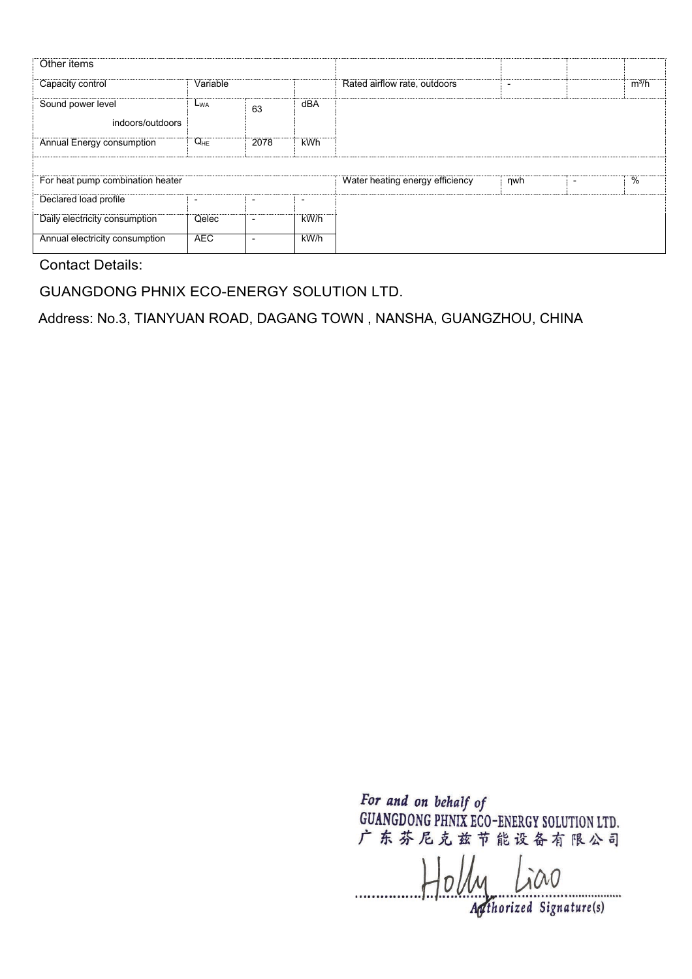| Other items                           |                |                          |                          |                                 |                          |         |
|---------------------------------------|----------------|--------------------------|--------------------------|---------------------------------|--------------------------|---------|
| Capacity control                      | Variable       |                          |                          | Rated airflow rate, outdoors    | $\overline{\phantom{0}}$ | $m^3/h$ |
| Sound power level<br>indoors/outdoors | $L_{WA}$       | 63                       | dBA                      |                                 |                          |         |
| Annual Energy consumption             | $Q_{HE}$       | 2078                     | <b>kWh</b>               |                                 |                          |         |
|                                       |                |                          |                          |                                 |                          |         |
| For heat pump combination heater      |                |                          |                          | Water heating energy efficiency | nwh                      | %       |
| Declared load profile                 | $\blacksquare$ | $\overline{\phantom{0}}$ | $\overline{\phantom{0}}$ |                                 |                          |         |
| Daily electricity consumption         | Qelec          | $\blacksquare$           | kW/h                     |                                 |                          |         |
| Annual electricity consumption        | <b>AEC</b>     | ٠                        | $k$ W/h                  |                                 |                          |         |

GUANGDONG PHNIX ECO-ENERGY SOLUTION LTD.

Address: No.3, TIANYUAN ROAD, DAGANG TOWN , NANSHA, GUANGZHOU, CHINA

 $H_0$ *ly Lico*  $\frac{1}{\sqrt{2\pi}}$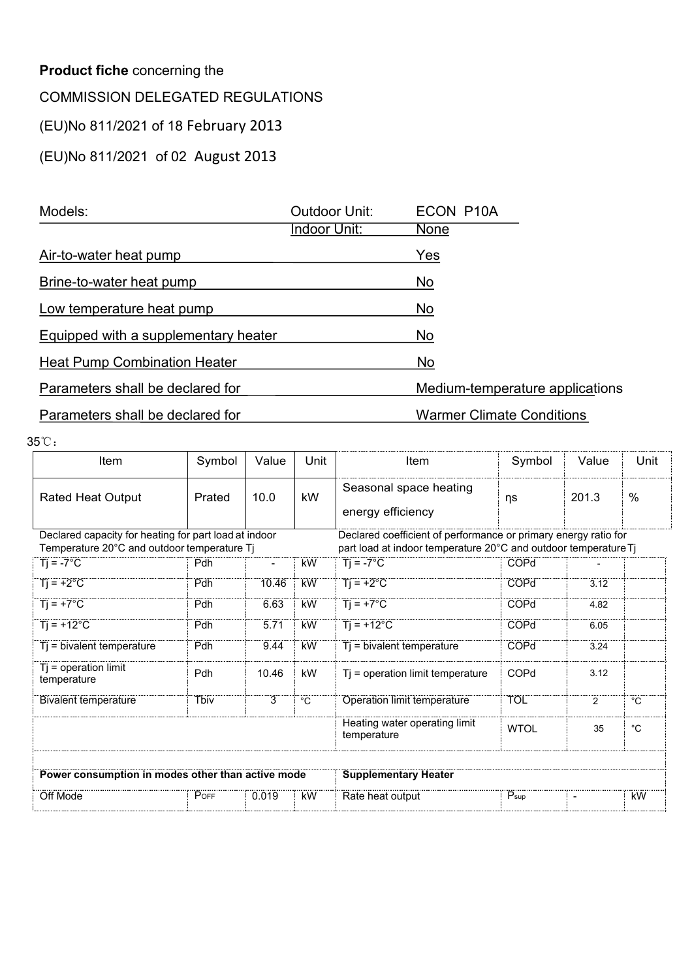| <b>Product fiche concerning the</b>     |        |       |                      |                             |                                  |       |      |
|-----------------------------------------|--------|-------|----------------------|-----------------------------|----------------------------------|-------|------|
| <b>COMMISSION DELEGATED REGULATIONS</b> |        |       |                      |                             |                                  |       |      |
| (EU)No 811/2021 of 18 February 2013     |        |       |                      |                             |                                  |       |      |
| (EU)No 811/2021 of 02 August 2013       |        |       |                      |                             |                                  |       |      |
|                                         |        |       |                      |                             |                                  |       |      |
| Models:                                 |        |       | <b>Outdoor Unit:</b> | ECON P10A                   |                                  |       |      |
|                                         |        |       | Indoor Unit:         | <b>None</b>                 |                                  |       |      |
| Air-to-water heat pump                  |        |       |                      | Yes                         |                                  |       |      |
| Brine-to-water heat pump                |        |       |                      | No                          |                                  |       |      |
| Low temperature heat pump               |        |       |                      | <b>No</b>                   |                                  |       |      |
| Equipped with a supplementary heater    |        |       |                      | <b>No</b>                   |                                  |       |      |
| <b>Heat Pump Combination Heater</b>     |        |       |                      | No                          |                                  |       |      |
| Parameters shall be declared for        |        |       |                      |                             | Medium-temperature applications  |       |      |
| Parameters shall be declared for        |        |       |                      |                             | <b>Warmer Climate Conditions</b> |       |      |
| 5℃.                                     |        |       |                      |                             |                                  |       |      |
| Item                                    | Symbol | Value | Unit                 | Item                        | Symbol                           | Value | Unit |
|                                         |        |       |                      | Organization and the office |                                  |       |      |

| Equipped with a supplementary heater                                                                 |             |                |                | No                                                                                                                                 |                  |                |                    |  |  |  |
|------------------------------------------------------------------------------------------------------|-------------|----------------|----------------|------------------------------------------------------------------------------------------------------------------------------------|------------------|----------------|--------------------|--|--|--|
| <b>Heat Pump Combination Heater</b>                                                                  |             |                |                | <b>No</b>                                                                                                                          |                  |                |                    |  |  |  |
| Parameters shall be declared for                                                                     |             |                |                | Medium-temperature applications                                                                                                    |                  |                |                    |  |  |  |
| Parameters shall be declared for                                                                     |             |                |                | <b>Warmer Climate Conditions</b>                                                                                                   |                  |                |                    |  |  |  |
| 35°C:                                                                                                |             |                |                |                                                                                                                                    |                  |                |                    |  |  |  |
| Item                                                                                                 | Symbol      | Value          | Unit           | Item                                                                                                                               | Symbol           | Value          | Unit               |  |  |  |
| <b>Rated Heat Output</b>                                                                             | Prated      | 10.0           | kW             | Seasonal space heating<br>energy efficiency                                                                                        | ηs               | 201.3          | $\%$               |  |  |  |
| Declared capacity for heating for part load at indoor<br>Temperature 20°C and outdoor temperature Tj |             |                |                | Declared coefficient of performance or primary energy ratio for<br>part load at indoor temperature 20°C and outdoor temperature Tj |                  |                |                    |  |  |  |
| $Ti = -7^{\circ}C$                                                                                   | Pdh         | $\blacksquare$ | <b>kW</b>      | $Ti = -7^{\circ}C$                                                                                                                 | COPd             |                |                    |  |  |  |
| $Tj = +2°C$                                                                                          | Pdh         | 10.46          | kW             | $Ti = +2^{\circ}C$                                                                                                                 | COPd             | 3.12           |                    |  |  |  |
| $Ti = +7^{\circ}C$                                                                                   | Pdh         | 6.63           | <b>kW</b>      | $Ti = +7^{\circ}C$                                                                                                                 | COPd             | 4.82           |                    |  |  |  |
| $Ti = +12^{\circ}C$                                                                                  | Pdh         | 5.71           | <b>kW</b>      | $Ti = +12^{\circ}C$                                                                                                                | COPd             | 6.05           |                    |  |  |  |
| Ti = bivalent temperature                                                                            | Pdh         | 9.44           | <b>kW</b>      | Tj = bivalent temperature                                                                                                          | COPd             | 3.24           |                    |  |  |  |
| $Ti = operation$ limit<br>temperature                                                                | Pdh         | 10.46          | kW             | Tj = operation limit temperature                                                                                                   | COPd             | 3.12           |                    |  |  |  |
| Bivalent temperature                                                                                 | <b>Thiv</b> | 3              | $\overline{C}$ | <b>Operation limit temperature</b>                                                                                                 | <b>TOL</b>       | $\overline{2}$ | $\overline{\ }$ °C |  |  |  |
|                                                                                                      |             |                |                | Heating water operating limit<br>temperature                                                                                       | <b>WTOL</b>      | 35             | $^{\circ}{\rm C}$  |  |  |  |
| Power consumption in modes other than active mode                                                    |             |                |                | <b>Supplementary Heater</b>                                                                                                        |                  |                |                    |  |  |  |
| POFF<br>Off Mode<br><br>kW<br>0.019                                                                  |             |                |                | Rate heat output                                                                                                                   | $P_{\text{sup}}$ | $\blacksquare$ | <b>kW</b>          |  |  |  |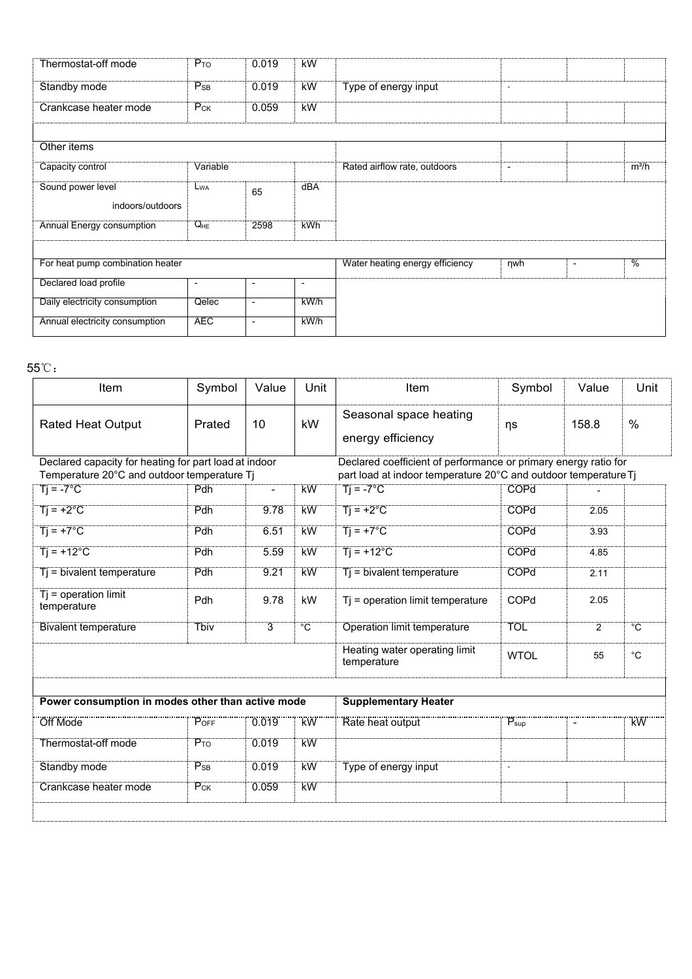| Thermostat-off mode              | $P_{TO}$                 | 0.019          | <b>kW</b>                |                                 |                          |                                           |
|----------------------------------|--------------------------|----------------|--------------------------|---------------------------------|--------------------------|-------------------------------------------|
| Standby mode                     | $P_{SB}$                 | 0.019          | <b>kW</b>                | Type of energy input            | $\sim$                   |                                           |
| Crankcase heater mode            | $P_{CK}$                 | 0.059          | kW                       |                                 |                          |                                           |
|                                  |                          |                |                          |                                 |                          |                                           |
| Other items                      |                          |                |                          |                                 |                          |                                           |
| Capacity control                 | Variable                 |                |                          | Rated airflow rate, outdoors    | $\overline{\phantom{a}}$ | $m^3/h$                                   |
| Sound power level                | L <sub>WA</sub>          |                | dBA                      |                                 |                          |                                           |
| indoors/outdoors                 |                          | 65             |                          |                                 |                          |                                           |
|                                  | $Q_{HE}$                 |                |                          |                                 |                          |                                           |
| <b>Annual Energy consumption</b> |                          | 2598           | <b>kWh</b>               |                                 |                          |                                           |
|                                  |                          |                |                          |                                 |                          |                                           |
| For heat pump combination heater |                          |                |                          | Water heating energy efficiency | $\n  ny$                 | $\frac{0}{6}$<br>$\overline{\phantom{a}}$ |
| Declared load profile            | $\overline{\phantom{a}}$ | $\blacksquare$ | $\overline{\phantom{a}}$ |                                 |                          |                                           |
| Daily electricity consumption    | Qelec                    | $\blacksquare$ | kWh                      |                                 |                          |                                           |
| Annual electricity consumption   | <b>AEC</b>               | $\mathbf{r}$   | kW/h                     |                                 |                          |                                           |

| For heat pump combination heater                                       |                          |                          |                | Water heating energy efficiency                                                       | nwh                | $\blacksquare$ | $\overline{\frac{0}{0}}$ |
|------------------------------------------------------------------------|--------------------------|--------------------------|----------------|---------------------------------------------------------------------------------------|--------------------|----------------|--------------------------|
| Declared load profile                                                  | $\overline{\phantom{a}}$ | $\sim$                   |                |                                                                                       |                    |                |                          |
| Daily electricity consumption                                          | Qelec                    | $\overline{\phantom{a}}$ | $k$ W/h        |                                                                                       |                    |                |                          |
| Annual electricity consumption                                         | <b>AEC</b>               | $\overline{\phantom{a}}$ | kW/h           |                                                                                       |                    |                |                          |
|                                                                        |                          |                          |                |                                                                                       |                    |                |                          |
| $5^{\circ}\mathrm{C}$ :                                                |                          |                          |                |                                                                                       |                    |                |                          |
| Item                                                                   | Symbol                   | Value                    | Unit           | Item                                                                                  | Symbol             | Value          | Unit                     |
| <b>Rated Heat Output</b>                                               | Prated                   | 10                       | kW             | Seasonal space heating<br>energy efficiency                                           | ηs                 | 158.8          | $\%$                     |
| Declared capacity for heating for part load at indoor                  |                          |                          |                | Declared coefficient of performance or primary energy ratio for                       |                    |                |                          |
| Temperature 20°C and outdoor temperature Tj<br>$\overline{T}$ j = -7°C | Pdh                      | $\blacksquare$           | kW             | part load at indoor temperature 20°C and outdoor temperature Tj<br>$Tj = -7^{\circ}C$ | <b>COPd</b>        |                |                          |
| $Ti = +2^{\circ}C$                                                     | Pdh                      | 9.78                     | <b>kW</b>      | $Ti = +2^{\circ}C$                                                                    | COPd               | 2.05           |                          |
|                                                                        |                          |                          |                |                                                                                       |                    |                |                          |
| $Ti = +7^{\circ}C$                                                     | Pdh                      | 6.51                     | kW             | $Ti = +7^{\circ}C$                                                                    | COPd               | 3.93           |                          |
| $Ti = +12^{\circ}C$                                                    | Pdh                      | 5.59                     | <b>kW</b>      | $Ti = +12^{\circ}C$                                                                   | <b>COPd</b>        | 4.85           |                          |
| $Tj = bivalent temperature$                                            | Pdh                      | 9.21                     | kW             | Tj = bivalent temperature                                                             | COPd               | 2.11           |                          |
| $Tj = operation$ limit<br>temperature                                  | Pdh                      | 9.78                     | kW             | Tj = operation limit temperature                                                      | COPd               | 2.05           |                          |
| <b>Bivalent temperature</b>                                            | <b>Tbiv</b>              | $\overline{3}$           | $\overline{C}$ | <b>Operation limit temperature</b>                                                    | <b>TOL</b>         | $\overline{2}$ | $^{\circ}C$              |
|                                                                        |                          |                          |                | Heating water operating limit<br>temperature                                          | <b>WTOL</b>        | 55             | $^{\circ}C$              |
|                                                                        |                          |                          |                |                                                                                       |                    |                |                          |
| Power consumption in modes other than active mode                      |                          |                          |                | <b>Supplementary Heater</b>                                                           |                    |                |                          |
| <br>Off Mode                                                           | POFF                     | 0.019                    | <br>KW         | Rate heat output                                                                      | $P_{\mathsf{sup}}$ | $\blacksquare$ | <br>kW                   |
| Thermostat-off mode                                                    | $P_{TO}$                 | 0.019                    | <b>kW</b>      |                                                                                       |                    |                |                          |
| Standby mode                                                           | $P_{SB}$                 | 0.019                    | <b>kW</b>      | Type of energy input                                                                  | $\omega$           |                |                          |
| <b>Crankcase heater mode</b>                                           | $P_{CK}$                 | 0.059                    | <b>kW</b>      |                                                                                       |                    |                |                          |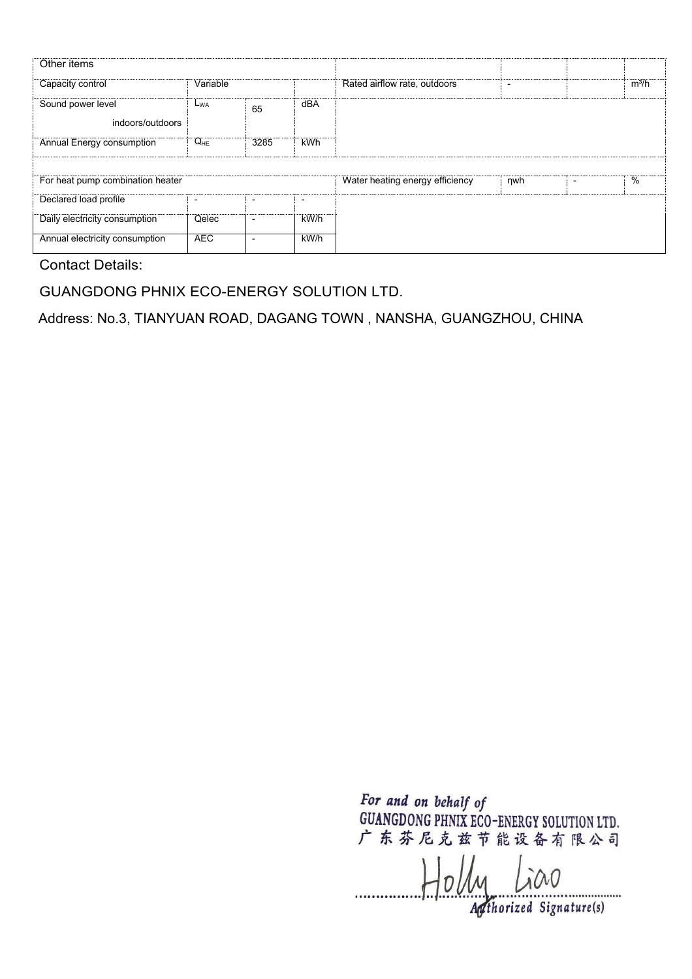| Other items                           |                          |                          |                          |                                 |     |         |
|---------------------------------------|--------------------------|--------------------------|--------------------------|---------------------------------|-----|---------|
| Capacity control                      | Variable                 |                          |                          | Rated airflow rate, outdoors    | ٠   | $m^3/h$ |
| Sound power level<br>indoors/outdoors | $L_{WA}$                 | 65                       | dBA                      |                                 |     |         |
| Annual Energy consumption             | $Q_{HE}$                 | 3285                     | <b>kWh</b>               |                                 |     |         |
|                                       |                          |                          |                          |                                 |     |         |
| For heat pump combination heater      |                          |                          |                          | Water heating energy efficiency | nwh | %       |
| Declared load profile                 | $\overline{\phantom{0}}$ | $\overline{\phantom{0}}$ | $\overline{\phantom{0}}$ |                                 |     |         |
| Daily electricity consumption         | Qelec                    | $\overline{\phantom{a}}$ | kW/h                     |                                 |     |         |
| Annual electricity consumption        | <b>AEC</b>               | $\overline{\phantom{0}}$ | $k$ W/h                  |                                 |     |         |

GUANGDONG PHNIX ECO-ENERGY SOLUTION LTD.

Address: No.3, TIANYUAN ROAD, DAGANG TOWN , NANSHA, GUANGZHOU, CHINA

 $H_0$ *ly Lico*  $\frac{1}{\sqrt{2\pi}}$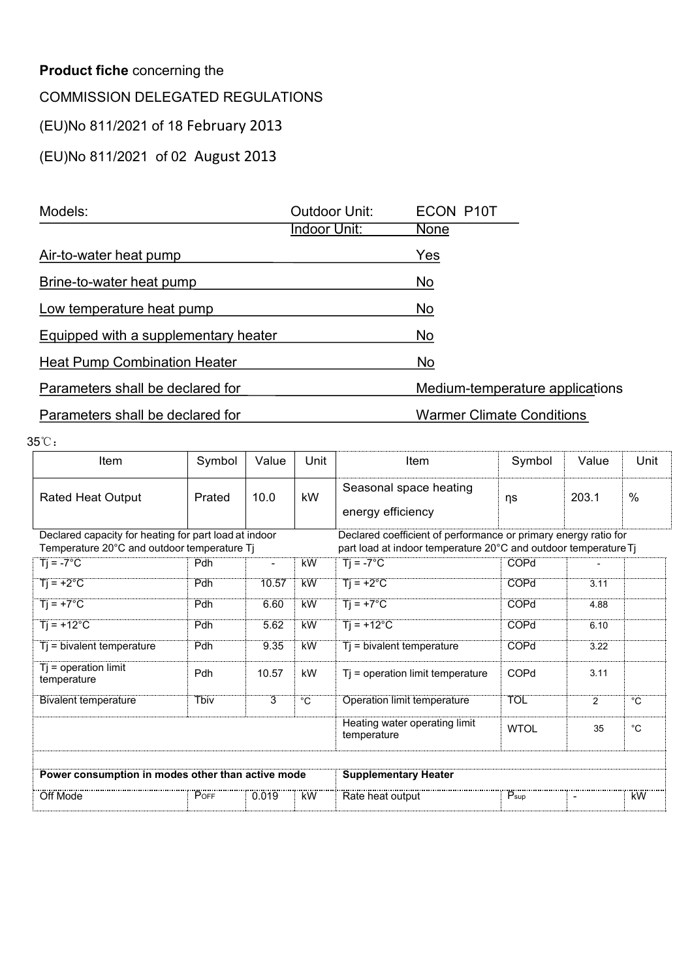| <b>Product fiche concerning the</b>     |        |       |                      |                                  |        |       |      |
|-----------------------------------------|--------|-------|----------------------|----------------------------------|--------|-------|------|
| <b>COMMISSION DELEGATED REGULATIONS</b> |        |       |                      |                                  |        |       |      |
| (EU)No 811/2021 of 18 February 2013     |        |       |                      |                                  |        |       |      |
| (EU)No 811/2021 of 02 August 2013       |        |       |                      |                                  |        |       |      |
|                                         |        |       |                      |                                  |        |       |      |
| Models:                                 |        |       | <b>Outdoor Unit:</b> | <b>ECON P10T</b>                 |        |       |      |
|                                         |        |       | Indoor Unit:         | <b>None</b>                      |        |       |      |
| Air-to-water heat pump                  |        |       |                      | Yes                              |        |       |      |
| Brine-to-water heat pump                |        |       |                      | No                               |        |       |      |
| Low temperature heat pump               |        |       |                      | <b>No</b>                        |        |       |      |
| Equipped with a supplementary heater    |        |       |                      | <b>No</b>                        |        |       |      |
| <b>Heat Pump Combination Heater</b>     |        |       |                      | No                               |        |       |      |
| Parameters shall be declared for        |        |       |                      | Medium-temperature applications  |        |       |      |
| Parameters shall be declared for        |        |       |                      | <b>Warmer Climate Conditions</b> |        |       |      |
| 5℃.                                     |        |       |                      |                                  |        |       |      |
| Item                                    | Symbol | Value | Unit                 | Item                             | Symbol | Value | Unit |
|                                         |        |       |                      | Organization and the office      |        |       |      |

| Equipped with a supplementary heater                                                                 |             |                |                | No                                                                                                                                 |                  |                |                   |
|------------------------------------------------------------------------------------------------------|-------------|----------------|----------------|------------------------------------------------------------------------------------------------------------------------------------|------------------|----------------|-------------------|
| <b>Heat Pump Combination Heater</b>                                                                  |             |                |                | No                                                                                                                                 |                  |                |                   |
| Parameters shall be declared for                                                                     |             |                |                | Medium-temperature applications                                                                                                    |                  |                |                   |
| Parameters shall be declared for                                                                     |             |                |                | <b>Warmer Climate Conditions</b>                                                                                                   |                  |                |                   |
| 35°C:                                                                                                |             |                |                |                                                                                                                                    |                  |                |                   |
| Item                                                                                                 | Symbol      | Value          | Unit           | Item                                                                                                                               | Symbol           | Value          | Unit              |
| <b>Rated Heat Output</b>                                                                             | Prated      | 10.0           | kW             | Seasonal space heating<br>energy efficiency                                                                                        | ηs               | 203.1          | $\%$              |
| Declared capacity for heating for part load at indoor<br>Temperature 20°C and outdoor temperature Tj |             |                |                | Declared coefficient of performance or primary energy ratio for<br>part load at indoor temperature 20°C and outdoor temperature Tj |                  |                |                   |
| $\overline{T}$ = -7°C                                                                                | Pdh         | $\blacksquare$ | <b>kW</b>      | $Ti = -7^{\circ}C$                                                                                                                 | COPd             |                |                   |
| $Ti = +2°C$                                                                                          | Pdh         | 10.57          | <b>kW</b>      | $Tj = +2°C$                                                                                                                        | COPd             | 3.11           |                   |
| $Ti = +7^{\circ}C$                                                                                   | Pdh         | 6.60           | <b>kW</b>      | $Ti = +7^{\circ}C$                                                                                                                 | COPd             | 4.88           |                   |
| $Ti = +12^{\circ}C$                                                                                  | Pdh         | 5.62           | <b>kW</b>      | $Ti = +12^{\circ}C$                                                                                                                | COPd             | 6.10           |                   |
| Tj = bivalent temperature                                                                            | Pdh         | 9.35           | <b>kW</b>      | Tj = bivalent temperature                                                                                                          | COPd             | 3.22           |                   |
| $Tj = operation$ limit<br>temperature                                                                | Pdh         | 10.57          | kW             | Tj = operation limit temperature                                                                                                   | COPd             | 3.11           |                   |
| <b>Bivalent temperature</b>                                                                          | <b>Tbiv</b> | $\overline{3}$ | $\overline{C}$ | <b>Operation limit temperature</b>                                                                                                 | <b>TOL</b>       | $\overline{2}$ | $\overline{C}$    |
|                                                                                                      |             |                |                | Heating water operating limit<br>temperature                                                                                       | <b>WTOL</b>      | 35             | $^{\circ}{\rm C}$ |
| Power consumption in modes other than active mode                                                    |             |                |                | <b>Supplementary Heater</b>                                                                                                        |                  |                |                   |
| POFF<br>0.019<br>Off Mode                                                                            |             |                |                | <br>Rate heat output                                                                                                               | $P_{\text{sup}}$ | $\blacksquare$ | <b>kW</b>         |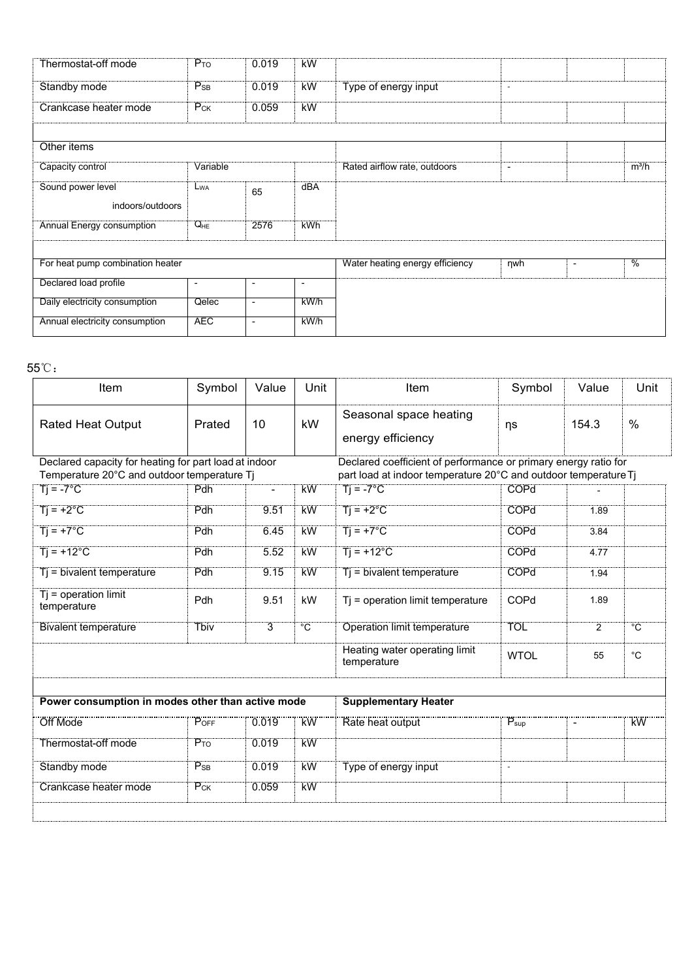| Thermostat-off mode              | $P_{TO}$                 | 0.019          | <b>kW</b>                |                                 |                          |                                           |
|----------------------------------|--------------------------|----------------|--------------------------|---------------------------------|--------------------------|-------------------------------------------|
| Standby mode                     | $P_{SB}$                 | 0.019          | <b>kW</b>                | Type of energy input            | $\sim$                   |                                           |
| Crankcase heater mode            | $P_{CK}$                 | 0.059          | kW                       |                                 |                          |                                           |
|                                  |                          |                |                          |                                 |                          |                                           |
| Other items                      |                          |                |                          |                                 |                          |                                           |
| Capacity control                 | Variable                 |                |                          | Rated airflow rate, outdoors    | $\overline{\phantom{a}}$ | $m^3/h$                                   |
| Sound power level                | L <sub>WA</sub>          |                | dBA                      |                                 |                          |                                           |
| indoors/outdoors                 |                          | 65             |                          |                                 |                          |                                           |
| <b>Annual Energy consumption</b> | $Q_{HE}$                 | 2576           | <b>kWh</b>               |                                 |                          |                                           |
|                                  |                          |                |                          |                                 |                          |                                           |
| For heat pump combination heater |                          |                |                          | Water heating energy efficiency | $\n  ny$                 | $\frac{0}{6}$<br>$\overline{\phantom{a}}$ |
|                                  |                          |                |                          |                                 |                          |                                           |
| Declared load profile            | $\overline{\phantom{a}}$ | $\blacksquare$ | $\overline{\phantom{a}}$ |                                 |                          |                                           |
| Daily electricity consumption    | Qelec                    | $\blacksquare$ | kWh                      |                                 |                          |                                           |
| Annual electricity consumption   | <b>AEC</b>               | $\mathbf{r}$   | kW/h                     |                                 |                          |                                           |

| For heat pump combination heater                                                                     |                          |                          |                | Water heating energy efficiency                                                                                                    | nwh                 | $\sim$         | $\overline{\frac{0}{0}}$ |
|------------------------------------------------------------------------------------------------------|--------------------------|--------------------------|----------------|------------------------------------------------------------------------------------------------------------------------------------|---------------------|----------------|--------------------------|
| Declared load profile                                                                                | $\overline{\phantom{a}}$ | $\overline{\phantom{a}}$ | $\blacksquare$ |                                                                                                                                    |                     |                |                          |
| Daily electricity consumption                                                                        | Qelec                    | $\overline{\phantom{a}}$ | kW/h           |                                                                                                                                    |                     |                |                          |
| Annual electricity consumption                                                                       | <b>AEC</b>               | $\overline{\phantom{a}}$ | kW/h           |                                                                                                                                    |                     |                |                          |
|                                                                                                      |                          |                          |                |                                                                                                                                    |                     |                |                          |
| $55^{\circ}\mathrm{C}$ :                                                                             |                          |                          |                |                                                                                                                                    |                     |                |                          |
| Item                                                                                                 | Symbol                   | Value                    | Unit           | Item                                                                                                                               | Symbol              | Value          | Unit                     |
| <b>Rated Heat Output</b>                                                                             | Prated                   | 10                       | kW             | Seasonal space heating<br>energy efficiency                                                                                        | ηs                  | 154.3          | $\%$                     |
| Declared capacity for heating for part load at indoor<br>Temperature 20°C and outdoor temperature Tj |                          |                          |                | Declared coefficient of performance or primary energy ratio for<br>part load at indoor temperature 20°C and outdoor temperature Tj |                     |                |                          |
| $Ti = -7^{\circ}C$                                                                                   | Pdh                      | $\overline{\phantom{a}}$ | <b>kW</b>      | $\overline{T}$ = -7°C                                                                                                              | <b>COPd</b>         |                |                          |
| $Tj = +2°C$                                                                                          | Pdh                      | 9.51                     | <b>kW</b>      | $Ti = +2^{\circ}C$                                                                                                                 | <b>COPd</b>         | 1.89           |                          |
| $T = +7^{\circ}C$                                                                                    | Pdh                      | 6.45                     | kW             | $Ti = +7^{\circ}C$                                                                                                                 | <b>COPd</b>         | 3.84           |                          |
| $Ti = +12^{\circ}C$                                                                                  | Pdh                      | 5.52                     | kW             | $Ti = +12^{\circ}C$                                                                                                                | <b>COPd</b>         | 4.77           |                          |
| Ti = bivalent temperature                                                                            | Pdh                      | 9.15                     | kW             | Tj = bivalent temperature                                                                                                          | <b>COPd</b>         | 1.94           |                          |
| $Tj = operation$ limit<br>temperature                                                                | Pdh                      | 9.51                     | kW             | Tj = operation limit temperature                                                                                                   | COPd                | 1.89           |                          |
| <b>Bivalent temperature</b>                                                                          | <b>Tbiv</b>              | $\overline{3}$           | $\overline{C}$ | <b>Operation limit temperature</b>                                                                                                 | <b>TOL</b>          | $\overline{2}$ | $^{\circ}C$              |
|                                                                                                      |                          |                          |                | Heating water operating limit<br>temperature                                                                                       | <b>WTOL</b>         | 55             | $^{\circ}$ C             |
|                                                                                                      |                          |                          |                |                                                                                                                                    |                     |                |                          |
| Power consumption in modes other than active mode                                                    |                          |                          |                | <b>Supplementary Heater</b>                                                                                                        |                     |                |                          |
| Off Mode                                                                                             | P <sub>OFF</sub>         | 0.019                    | <br>KW         | Rate heat output                                                                                                                   | $P_{\sf sup}$       | $\blacksquare$ | <u>kW</u>                |
| Thermostat-off mode                                                                                  | $P_{TO}$                 | 0.019                    | <b>kW</b>      |                                                                                                                                    |                     |                |                          |
| Standby mode                                                                                         | $P_{SB}$                 | 0.019                    | <b>kW</b>      | Type of energy input                                                                                                               | $\bar{\phantom{a}}$ |                |                          |
| Crankcase heater mode                                                                                | $P_{CK}$                 | 0.059                    | <b>kW</b>      |                                                                                                                                    |                     |                |                          |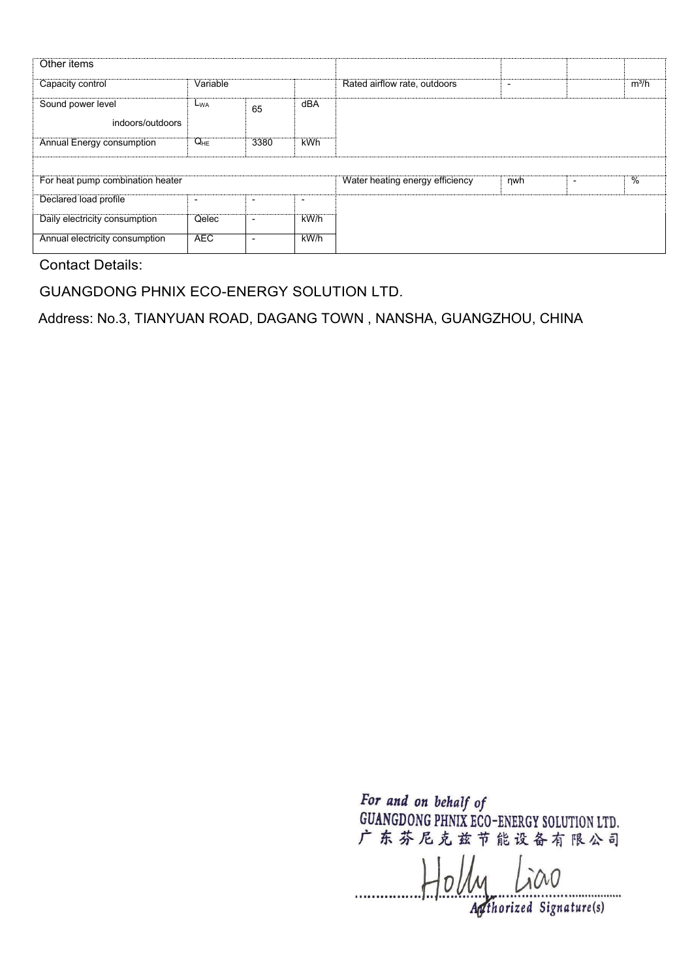| Other items                           |                          |                          |                          |                                 |     |         |
|---------------------------------------|--------------------------|--------------------------|--------------------------|---------------------------------|-----|---------|
| Capacity control                      | Variable                 |                          |                          | Rated airflow rate, outdoors    | ٠   | $m^3/h$ |
| Sound power level<br>indoors/outdoors | $L_{WA}$                 | 65                       | dBA                      |                                 |     |         |
| Annual Energy consumption             | $Q_{HE}$                 | 3380                     | <b>kWh</b>               |                                 |     |         |
|                                       |                          |                          |                          |                                 |     |         |
| For heat pump combination heater      |                          |                          |                          | Water heating energy efficiency | nwh | %       |
| Declared load profile                 | $\overline{\phantom{0}}$ | $\overline{\phantom{0}}$ | $\overline{\phantom{0}}$ |                                 |     |         |
| Daily electricity consumption         | Qelec                    | $\overline{\phantom{a}}$ | kW/h                     |                                 |     |         |
| Annual electricity consumption        | <b>AEC</b>               | $\overline{\phantom{0}}$ | $k$ W/h                  |                                 |     |         |

GUANGDONG PHNIX ECO-ENERGY SOLUTION LTD.

Address: No.3, TIANYUAN ROAD, DAGANG TOWN , NANSHA, GUANGZHOU, CHINA

 $H_0$ *ly Lico*  $\frac{1}{\sqrt{2\pi}}$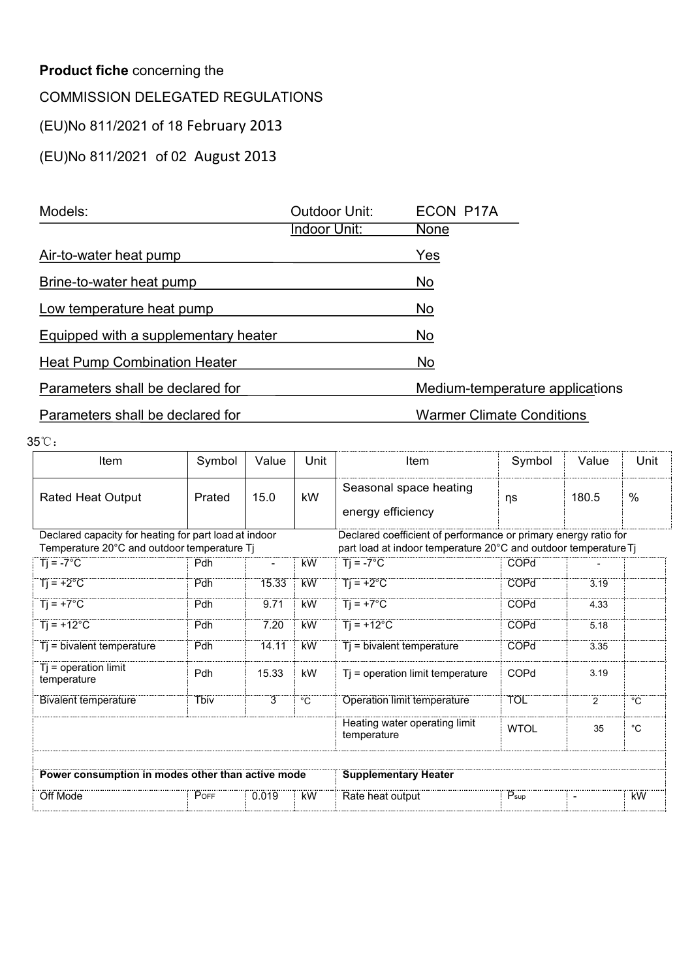| <b>Product fiche concerning the</b>     |        |       |                      |                                  |        |       |      |
|-----------------------------------------|--------|-------|----------------------|----------------------------------|--------|-------|------|
| <b>COMMISSION DELEGATED REGULATIONS</b> |        |       |                      |                                  |        |       |      |
| (EU)No 811/2021 of 18 February 2013     |        |       |                      |                                  |        |       |      |
| (EU)No 811/2021 of 02 August 2013       |        |       |                      |                                  |        |       |      |
|                                         |        |       |                      |                                  |        |       |      |
| Models:                                 |        |       | <b>Outdoor Unit:</b> | ECON P17A                        |        |       |      |
|                                         |        |       | Indoor Unit:         | <b>None</b>                      |        |       |      |
| Air-to-water heat pump                  |        |       |                      | Yes                              |        |       |      |
| Brine-to-water heat pump                |        |       |                      | No                               |        |       |      |
| Low temperature heat pump               |        |       |                      | <b>No</b>                        |        |       |      |
| Equipped with a supplementary heater    |        |       |                      | <b>No</b>                        |        |       |      |
| <b>Heat Pump Combination Heater</b>     |        |       |                      | No                               |        |       |      |
| Parameters shall be declared for        |        |       |                      | Medium-temperature applications  |        |       |      |
| Parameters shall be declared for        |        |       |                      | <b>Warmer Climate Conditions</b> |        |       |      |
| 5℃.                                     |        |       |                      |                                  |        |       |      |
| Item                                    | Symbol | Value | Unit                 | Item                             | Symbol | Value | Unit |
|                                         |        |       |                      | Organization and the office      |        |       |      |

| Equipped with a supplementary heater                                                                 |             |                |                | No                                                                                                                                 |                  |                |                   |  |  |  |
|------------------------------------------------------------------------------------------------------|-------------|----------------|----------------|------------------------------------------------------------------------------------------------------------------------------------|------------------|----------------|-------------------|--|--|--|
| <b>Heat Pump Combination Heater</b>                                                                  |             |                |                | No                                                                                                                                 |                  |                |                   |  |  |  |
| Parameters shall be declared for                                                                     |             |                |                | Medium-temperature applications                                                                                                    |                  |                |                   |  |  |  |
| Parameters shall be declared for                                                                     |             |                |                | <b>Warmer Climate Conditions</b>                                                                                                   |                  |                |                   |  |  |  |
| 35°C:                                                                                                |             |                |                |                                                                                                                                    |                  |                |                   |  |  |  |
| Item                                                                                                 | Symbol      | Value          | Unit           | Item                                                                                                                               | Symbol           | Value          | Unit              |  |  |  |
| <b>Rated Heat Output</b>                                                                             | Prated      | 15.0           | kW             | Seasonal space heating<br>energy efficiency                                                                                        | ηs               | 180.5          | $\%$              |  |  |  |
| Declared capacity for heating for part load at indoor<br>Temperature 20°C and outdoor temperature Tj |             |                |                | Declared coefficient of performance or primary energy ratio for<br>part load at indoor temperature 20°C and outdoor temperature Tj |                  |                |                   |  |  |  |
| $\overline{T}$ = -7°C                                                                                | Pdh         | $\blacksquare$ | <b>kW</b>      | $Ti = -7^{\circ}C$                                                                                                                 | COPd             |                |                   |  |  |  |
| $Ti = +2°C$                                                                                          | Pdh         | 15.33          | <b>kW</b>      | $Tj = +2°C$                                                                                                                        | COPd             | 3.19           |                   |  |  |  |
| $Ti = +7^{\circ}C$                                                                                   | Pdh         | 9.71           | <b>kW</b>      | $Ti = +7^{\circ}C$                                                                                                                 | COPd             | 4.33           |                   |  |  |  |
| $Ti = +12^{\circ}C$                                                                                  | Pdh         | 7.20           | <b>kW</b>      | $Ti = +12^{\circ}C$                                                                                                                | COPd             | 5.18           |                   |  |  |  |
| Tj = bivalent temperature                                                                            | Pdh         | 14.11          | <b>kW</b>      | Tj = bivalent temperature                                                                                                          | COPd             | 3.35           |                   |  |  |  |
| $Tj = operation$ limit<br>temperature                                                                | Pdh         | 15.33          | kW             | Tj = operation limit temperature                                                                                                   | COPd             | 3.19           |                   |  |  |  |
| <b>Bivalent temperature</b>                                                                          | <b>Tbiv</b> | $\overline{3}$ | $\overline{C}$ | <b>Operation limit temperature</b>                                                                                                 | <b>TOL</b>       | $\overline{2}$ | $\overline{C}$    |  |  |  |
|                                                                                                      |             |                |                | Heating water operating limit<br>temperature                                                                                       | <b>WTOL</b>      | 35             | $^{\circ}{\rm C}$ |  |  |  |
| Power consumption in modes other than active mode                                                    |             |                |                | <b>Supplementary Heater</b>                                                                                                        |                  |                |                   |  |  |  |
|                                                                                                      | POFF        | 0.019          |                | <br>Rate heat output                                                                                                               | $P_{\text{sup}}$ | $\blacksquare$ | <b>kW</b>         |  |  |  |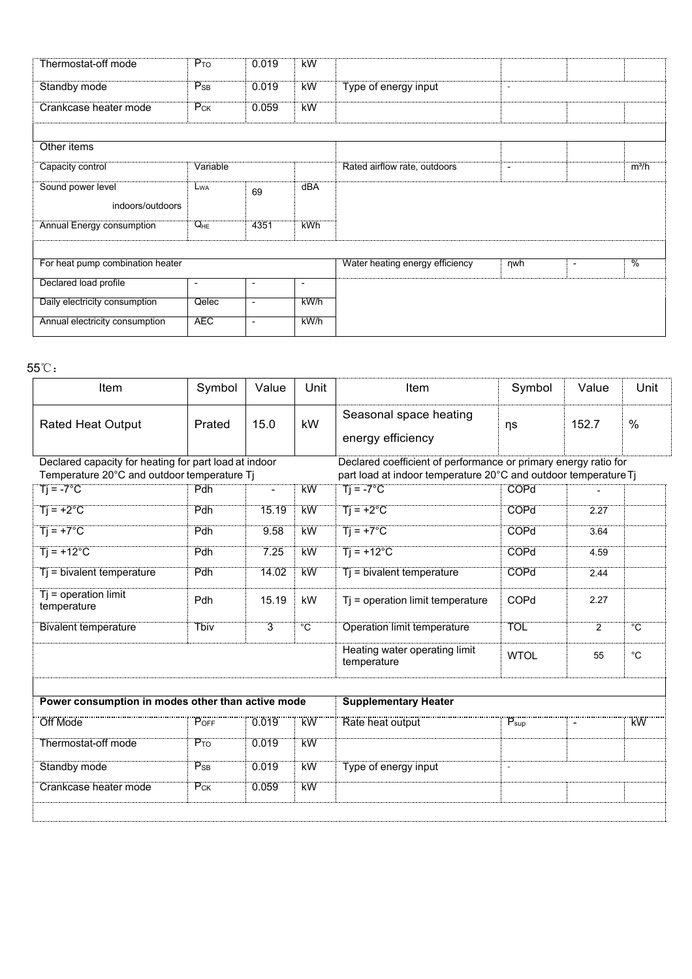| Thermostat-off mode              | $P_{TO}$                 | 0.019          | <b>kW</b>                |                                 |                          |                                           |
|----------------------------------|--------------------------|----------------|--------------------------|---------------------------------|--------------------------|-------------------------------------------|
| Standby mode                     | $P_{SB}$                 | 0.019          | <b>kW</b>                | Type of energy input            | $\sim$                   |                                           |
| Crankcase heater mode            | $P_{CK}$                 | 0.059          | kW                       |                                 |                          |                                           |
|                                  |                          |                |                          |                                 |                          |                                           |
| Other items                      |                          |                |                          |                                 |                          |                                           |
| Capacity control                 | Variable                 |                |                          | Rated airflow rate, outdoors    | $\overline{\phantom{a}}$ | $m^3/h$                                   |
| Sound power level                | L <sub>WA</sub>          | 69             | dBA                      |                                 |                          |                                           |
| indoors/outdoors                 |                          |                |                          |                                 |                          |                                           |
| <b>Annual Energy consumption</b> | $Q_{HE}$                 | 4351           | <b>kWh</b>               |                                 |                          |                                           |
|                                  |                          |                |                          |                                 |                          |                                           |
| For heat pump combination heater |                          |                |                          | Water heating energy efficiency | $\n  ny$                 | $\frac{0}{6}$<br>$\overline{\phantom{a}}$ |
| Declared load profile            | $\overline{\phantom{a}}$ | $\blacksquare$ | $\overline{\phantom{a}}$ |                                 |                          |                                           |
|                                  | Qelec                    | $\blacksquare$ | kWh                      |                                 |                          |                                           |
| Daily electricity consumption    |                          |                |                          |                                 |                          |                                           |

| For heat pump combination heater                                  |                                                   |                          |                |                                                                                       | nwh                | $\blacksquare$ | $\overline{\frac{0}{0}}$ |
|-------------------------------------------------------------------|---------------------------------------------------|--------------------------|----------------|---------------------------------------------------------------------------------------|--------------------|----------------|--------------------------|
| Declared load profile                                             | $\overline{\phantom{a}}$                          | $\sim$                   |                |                                                                                       |                    |                |                          |
| Daily electricity consumption                                     | Qelec                                             | $\overline{\phantom{a}}$ | $k$ W/h        |                                                                                       |                    |                |                          |
| Annual electricity consumption                                    | <b>AEC</b>                                        | $\overline{\phantom{a}}$ | kW/h           |                                                                                       |                    |                |                          |
|                                                                   |                                                   |                          |                |                                                                                       |                    |                |                          |
| $5^{\circ}\mathrm{C}$ :                                           |                                                   |                          |                |                                                                                       |                    |                |                          |
| Item                                                              | Symbol                                            | Value                    | Unit           | Item                                                                                  | Symbol             | Value          | Unit                     |
| <b>Rated Heat Output</b>                                          | Prated                                            | 15.0                     | kW             | Seasonal space heating<br>energy efficiency                                           | ηs                 | 152.7          | $\%$                     |
| Declared capacity for heating for part load at indoor             |                                                   |                          |                | Declared coefficient of performance or primary energy ratio for                       |                    |                |                          |
| Temperature 20°C and outdoor temperature Tj<br>$Ti = -7^{\circ}C$ | Pdh                                               | $\overline{\phantom{a}}$ | kW             | part load at indoor temperature 20°C and outdoor temperature Tj<br>$Tj = -7^{\circ}C$ | <b>COPd</b>        |                |                          |
| $Ti = +2^{\circ}C$                                                | Pdh                                               | 15.19                    | <b>kW</b>      | $Ti = +2^{\circ}C$                                                                    | COPd               | 2.27           |                          |
|                                                                   |                                                   |                          |                |                                                                                       |                    |                |                          |
| $Ti = +7^{\circ}C$                                                | Pdh                                               | 9.58                     | kW             | $Ti = +7^{\circ}C$                                                                    | COPd               | 3.64           |                          |
| $Ti = +12^{\circ}C$                                               | Pdh                                               | 7.25                     | kW             | $Ti = +12^{\circ}C$                                                                   | <b>COPd</b>        | 4.59           |                          |
| $Tj = bivalent temperature$                                       | Pdh                                               | 14.02                    | <b>kW</b>      | Tj = bivalent temperature                                                             | COPd               | 2.44           |                          |
| $Tj = operation$ limit<br>temperature                             | Pdh                                               | 15.19                    | kW             | Tj = operation limit temperature                                                      | COPd               | 2.27           |                          |
| <b>Bivalent temperature</b>                                       | <b>Tbiv</b>                                       | $\overline{3}$           | $\overline{C}$ | <b>Operation limit temperature</b>                                                    | <b>TOL</b>         | $\overline{2}$ | $^{\circ}C$              |
|                                                                   |                                                   |                          |                | Heating water operating limit<br>temperature                                          | <b>WTOL</b>        | 55             | $^{\circ}C$              |
|                                                                   |                                                   |                          |                |                                                                                       |                    |                |                          |
|                                                                   | Power consumption in modes other than active mode |                          |                |                                                                                       |                    |                |                          |
| <br>Off Mode                                                      | POFF                                              | 0.019                    | <br>KW         | Rate heat output                                                                      | $P_{\mathsf{sup}}$ | $\blacksquare$ | <br>kW                   |
| Thermostat-off mode                                               | $P_{TO}$                                          | 0.019                    | <b>kW</b>      |                                                                                       |                    |                |                          |
| Standby mode                                                      | $P_{SB}$                                          | 0.019                    | <b>kW</b>      | Type of energy input                                                                  | $\omega$           |                |                          |
| <b>Crankcase heater mode</b>                                      | $P_{CK}$                                          | 0.059                    | <b>kW</b>      |                                                                                       |                    |                |                          |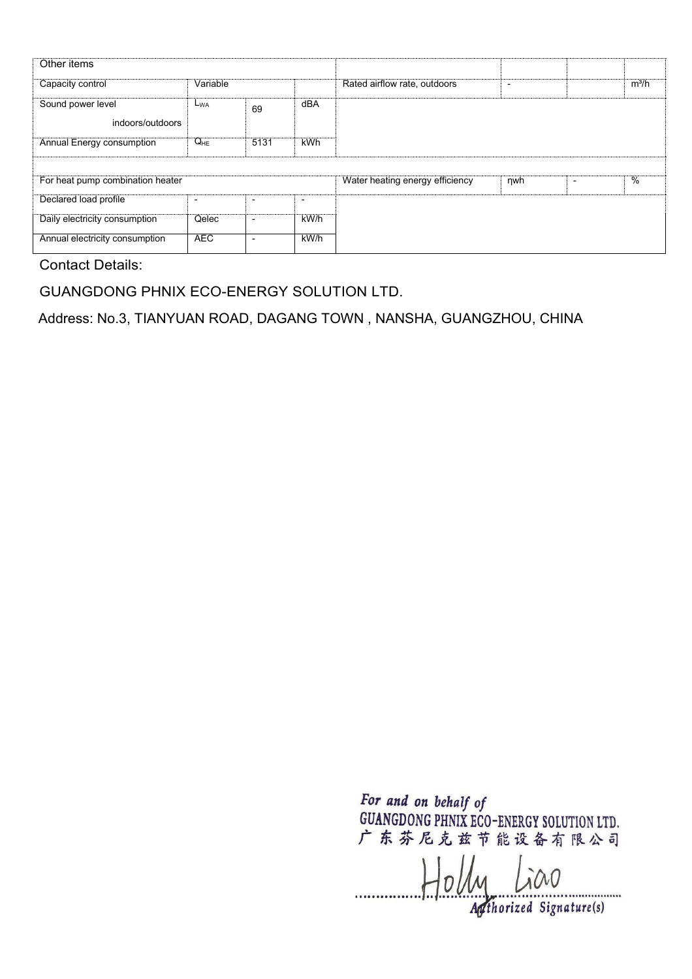| Other items                           |                          |                          |                          |                                 |     |         |
|---------------------------------------|--------------------------|--------------------------|--------------------------|---------------------------------|-----|---------|
| Capacity control                      | Variable                 |                          |                          | Rated airflow rate, outdoors    | ٠   | $m^3/h$ |
| Sound power level<br>indoors/outdoors | $L_{WA}$                 | 69                       | dBA                      |                                 |     |         |
| Annual Energy consumption             | $Q_{HE}$                 | 5131                     | <b>kWh</b>               |                                 |     |         |
|                                       |                          |                          |                          |                                 |     |         |
| For heat pump combination heater      |                          |                          |                          | Water heating energy efficiency | nwh | %       |
| Declared load profile                 | $\overline{\phantom{0}}$ | $\overline{\phantom{0}}$ | $\overline{\phantom{0}}$ |                                 |     |         |
| Daily electricity consumption         | Qelec                    | $\overline{\phantom{a}}$ | kW/h                     |                                 |     |         |
| Annual electricity consumption        | <b>AEC</b>               | $\overline{\phantom{0}}$ | $k$ W/h                  |                                 |     |         |

GUANGDONG PHNIX ECO-ENERGY SOLUTION LTD.

Address: No.3, TIANYUAN ROAD, DAGANG TOWN , NANSHA, GUANGZHOU, CHINA

 $H_0$ *ly Lico*  $\frac{1}{\sqrt{2\pi}}$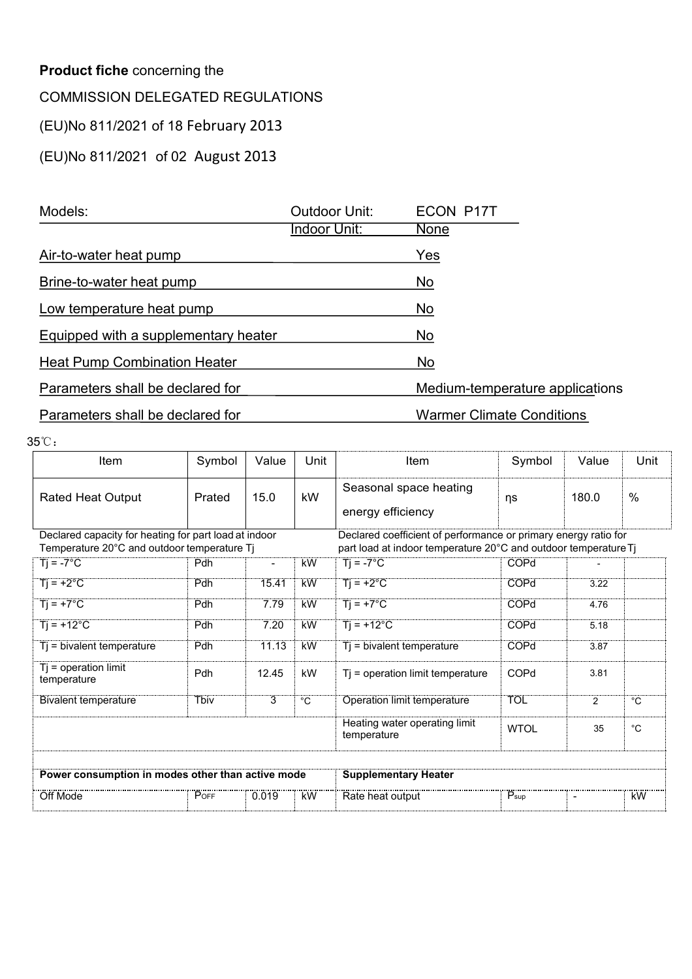| <b>Product fiche concerning the</b>     |        |       |                      |                                  |        |       |      |
|-----------------------------------------|--------|-------|----------------------|----------------------------------|--------|-------|------|
| <b>COMMISSION DELEGATED REGULATIONS</b> |        |       |                      |                                  |        |       |      |
| (EU)No 811/2021 of 18 February 2013     |        |       |                      |                                  |        |       |      |
| (EU)No 811/2021 of 02 August 2013       |        |       |                      |                                  |        |       |      |
|                                         |        |       |                      |                                  |        |       |      |
| Models:                                 |        |       | <b>Outdoor Unit:</b> | <b>ECON P17T</b>                 |        |       |      |
|                                         |        |       | <b>Indoor Unit:</b>  | <b>None</b>                      |        |       |      |
| Air-to-water heat pump                  |        |       |                      | Yes                              |        |       |      |
| Brine-to-water heat pump                |        |       |                      | No                               |        |       |      |
| Low temperature heat pump               |        |       |                      | No                               |        |       |      |
| Equipped with a supplementary heater    |        |       |                      | No                               |        |       |      |
| <b>Heat Pump Combination Heater</b>     |        |       |                      | No                               |        |       |      |
| Parameters shall be declared for        |        |       |                      | Medium-temperature applications  |        |       |      |
| Parameters shall be declared for        |        |       |                      | <b>Warmer Climate Conditions</b> |        |       |      |
| 5℃.                                     |        |       |                      |                                  |        |       |      |
| Item                                    | Symbol | Value | Unit                 | Item                             | Symbol | Value | Unit |
|                                         |        |       |                      | Organization and the attac       |        |       |      |

| Equipped with a supplementary heater                                                                 |             |                                 |             | No                                                                                                                                 |                          |                |                |  |  |  |  |
|------------------------------------------------------------------------------------------------------|-------------|---------------------------------|-------------|------------------------------------------------------------------------------------------------------------------------------------|--------------------------|----------------|----------------|--|--|--|--|
| <b>Heat Pump Combination Heater</b>                                                                  |             |                                 |             | <b>No</b>                                                                                                                          |                          |                |                |  |  |  |  |
| Parameters shall be declared for                                                                     |             | Medium-temperature applications |             |                                                                                                                                    |                          |                |                |  |  |  |  |
| Parameters shall be declared for                                                                     |             |                                 |             | <b>Warmer Climate Conditions</b>                                                                                                   |                          |                |                |  |  |  |  |
| 35°C:                                                                                                |             |                                 |             |                                                                                                                                    |                          |                |                |  |  |  |  |
| Item                                                                                                 | Symbol      | Value                           | Unit        | Item                                                                                                                               | Symbol                   | Value          | Unit           |  |  |  |  |
| <b>Rated Heat Output</b>                                                                             | Prated      | 15.0                            | kW          | Seasonal space heating<br>energy efficiency                                                                                        | ηs                       | 180.0          | $\%$           |  |  |  |  |
| Declared capacity for heating for part load at indoor<br>Temperature 20°C and outdoor temperature Tj |             |                                 |             | Declared coefficient of performance or primary energy ratio for<br>part load at indoor temperature 20°C and outdoor temperature Tj |                          |                |                |  |  |  |  |
| $Ti = -7^{\circ}C$                                                                                   | Pdh         | $\blacksquare$                  | kW          | $Ti = -7^{\circ}C$                                                                                                                 | COPd                     |                |                |  |  |  |  |
| $Tj = +2°C$                                                                                          | <b>Pdh</b>  | 15.41                           | kW          | $Tj = +2°C$                                                                                                                        | COPd                     | 3.22           |                |  |  |  |  |
| $Ti = +7^{\circ}C$                                                                                   | Pdh         | 7.79                            | <b>kW</b>   | $Ti = +7^{\circ}C$                                                                                                                 | COPd                     | 4.76           |                |  |  |  |  |
| $Ti = +12^{\circ}C$                                                                                  | Pdh         | 7.20                            | <b>kW</b>   | $Ti = +12^{\circ}C$                                                                                                                | COPd                     | 5.18           |                |  |  |  |  |
| $Tj = bivalent temperature$                                                                          | Pdh         | 11.13                           | <b>kW</b>   | $Tj$ = bivalent temperature                                                                                                        | COPd                     | 3.87           |                |  |  |  |  |
| $Tj = operation$ limit<br>temperature                                                                | Pdh         | 12.45                           | kW          | Tj = operation limit temperature                                                                                                   | COPd                     | 3.81           |                |  |  |  |  |
| <b>Bivalent temperature</b>                                                                          | <b>Thiv</b> | 3                               | $^{\circ}C$ | <b>Operation limit temperature</b>                                                                                                 | <b>TOL</b>               | $\overline{2}$ | $\overline{C}$ |  |  |  |  |
|                                                                                                      |             |                                 |             | Heating water operating limit<br>temperature                                                                                       | <b>WTOL</b>              | 35             | $^{\circ}C$    |  |  |  |  |
| Power consumption in modes other than active mode                                                    |             |                                 |             | <b>Supplementary Heater</b>                                                                                                        |                          |                |                |  |  |  |  |
|                                                                                                      | POFF        | 0.019                           | `kW         | Rate heat output                                                                                                                   | $\dddot{P}_{\text{sup}}$ | $\blacksquare$ | <b>KW</b>      |  |  |  |  |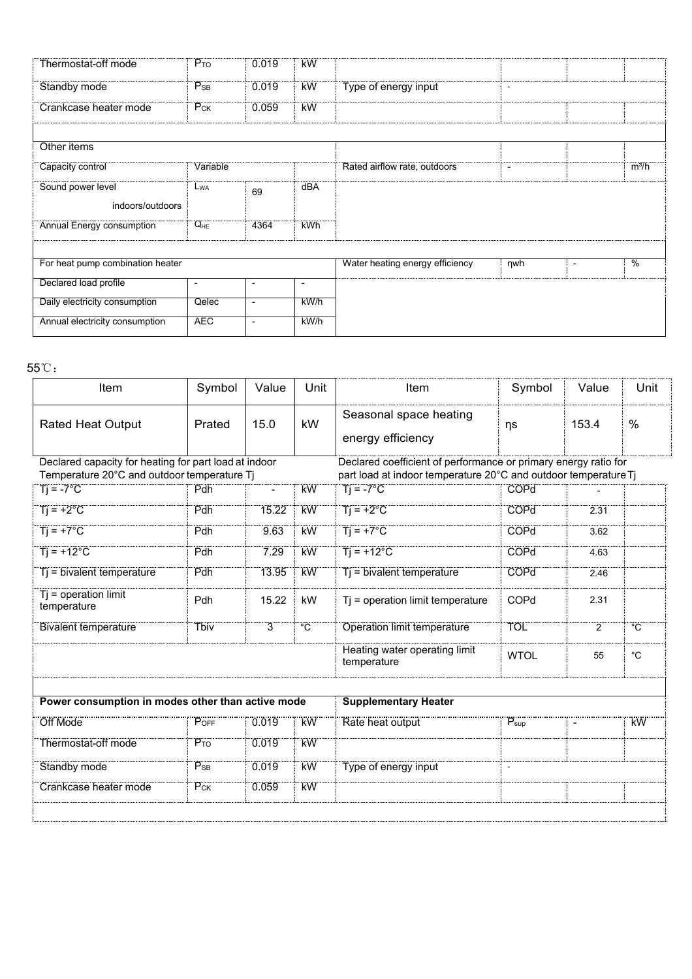| Thermostat-off mode              | $P_{TO}$                 | 0.019          | <b>kW</b>                |                                 |                          |                                           |
|----------------------------------|--------------------------|----------------|--------------------------|---------------------------------|--------------------------|-------------------------------------------|
| Standby mode                     | $P_{SB}$                 | 0.019          | <b>kW</b>                | Type of energy input            | $\sim$                   |                                           |
| Crankcase heater mode            | $P_{CK}$                 | 0.059          | kW                       |                                 |                          |                                           |
|                                  |                          |                |                          |                                 |                          |                                           |
| Other items                      |                          |                |                          |                                 |                          |                                           |
| Capacity control                 | Variable                 |                |                          | Rated airflow rate, outdoors    | $\overline{\phantom{a}}$ | $m^3/h$                                   |
| Sound power level                | L <sub>WA</sub>          | 69             | dBA                      |                                 |                          |                                           |
| indoors/outdoors                 |                          |                |                          |                                 |                          |                                           |
| <b>Annual Energy consumption</b> | $Q_{HE}$                 | 4364           | <b>kWh</b>               |                                 |                          |                                           |
|                                  |                          |                |                          |                                 |                          |                                           |
| For heat pump combination heater |                          |                |                          | Water heating energy efficiency | $\n  ny$                 | $\frac{0}{6}$<br>$\overline{\phantom{a}}$ |
| Declared load profile            | $\overline{\phantom{a}}$ | $\blacksquare$ | $\overline{\phantom{a}}$ |                                 |                          |                                           |
| Daily electricity consumption    | Qelec                    | $\blacksquare$ | kWh                      |                                 |                          |                                           |
|                                  |                          |                |                          |                                 |                          |                                           |

| For heat pump combination heater                                                                     |                          |                          |                |                                                                                                                                    | nwh                | $\blacksquare$ | $\overline{\frac{0}{0}}$ |
|------------------------------------------------------------------------------------------------------|--------------------------|--------------------------|----------------|------------------------------------------------------------------------------------------------------------------------------------|--------------------|----------------|--------------------------|
| Declared load profile                                                                                | $\overline{\phantom{a}}$ | $\sim$                   | $\blacksquare$ |                                                                                                                                    |                    |                |                          |
| Daily electricity consumption                                                                        | Qelec                    | $\overline{\phantom{a}}$ | $k$ W/h        |                                                                                                                                    |                    |                |                          |
| Annual electricity consumption                                                                       | <b>AEC</b>               | $\overline{\phantom{a}}$ | kW/h           |                                                                                                                                    |                    |                |                          |
|                                                                                                      |                          |                          |                |                                                                                                                                    |                    |                |                          |
| $5^{\circ}\mathrm{C}$ :                                                                              |                          |                          |                |                                                                                                                                    |                    |                |                          |
| Item                                                                                                 | Symbol                   | Value                    | Unit           | Item                                                                                                                               | Symbol             | Value          | Unit                     |
| <b>Rated Heat Output</b>                                                                             | Prated                   | 15.0                     | kW             | Seasonal space heating<br>energy efficiency                                                                                        | ηs                 | 153.4          | $\%$                     |
| Declared capacity for heating for part load at indoor<br>Temperature 20°C and outdoor temperature Tj |                          |                          |                | Declared coefficient of performance or primary energy ratio for<br>part load at indoor temperature 20°C and outdoor temperature Tj |                    |                |                          |
| $Ti = -7^{\circ}C$                                                                                   | Pdh                      | $\overline{\phantom{a}}$ | kW             | $Tj = -7^{\circ}C$                                                                                                                 | <b>COPd</b>        |                |                          |
| $Ti = +2^{\circ}C$                                                                                   | Pdh                      | 15.22                    | <b>kW</b>      | $Ti = +2^{\circ}C$                                                                                                                 | COPd               | 2.31           |                          |
| $Ti = +7^{\circ}C$                                                                                   | Pdh                      | 9.63                     | kW             | $Ti = +7^{\circ}C$                                                                                                                 | COPd               | 3.62           |                          |
| $Ti = +12^{\circ}C$                                                                                  | Pdh                      | 7.29                     | kW             | $Ti = +12^{\circ}C$                                                                                                                | <b>COPd</b>        | 4.63           |                          |
| $Tj = bivalent temperature$                                                                          | Pdh                      | 13.95                    | <b>kW</b>      | Tj = bivalent temperature                                                                                                          | COPd               | 2.46           |                          |
| $Tj = operation$ limit<br>temperature                                                                | Pdh                      | 15.22                    | kW             | Tj = operation limit temperature                                                                                                   | COPd               | 2.31           |                          |
| <b>Bivalent temperature</b>                                                                          | <b>Tbiv</b>              | $\overline{3}$           | $\overline{C}$ | <b>Operation limit temperature</b>                                                                                                 | <b>TOL</b>         | $\overline{2}$ | $^{\circ}C$              |
|                                                                                                      |                          |                          |                | Heating water operating limit<br>temperature                                                                                       | <b>WTOL</b>        | 55             | $^{\circ}C$              |
|                                                                                                      |                          |                          |                |                                                                                                                                    |                    |                |                          |
| Power consumption in modes other than active mode                                                    |                          |                          |                | <b>Supplementary Heater</b>                                                                                                        |                    |                |                          |
| <br>Off Mode                                                                                         | POFF                     | 0.019                    | <br>KW         | Rate heat output                                                                                                                   | $P_{\mathsf{sup}}$ | $\blacksquare$ | <br>kW                   |
| Thermostat-off mode                                                                                  | $P_{TO}$                 | 0.019                    | <b>kW</b>      |                                                                                                                                    |                    |                |                          |
| Standby mode                                                                                         | $P_{SB}$                 | 0.019                    | <b>kW</b>      | Type of energy input                                                                                                               | $\omega$           |                |                          |
| <b>Crankcase heater mode</b>                                                                         | $P_{CK}$                 | 0.059                    | <b>kW</b>      |                                                                                                                                    |                    |                |                          |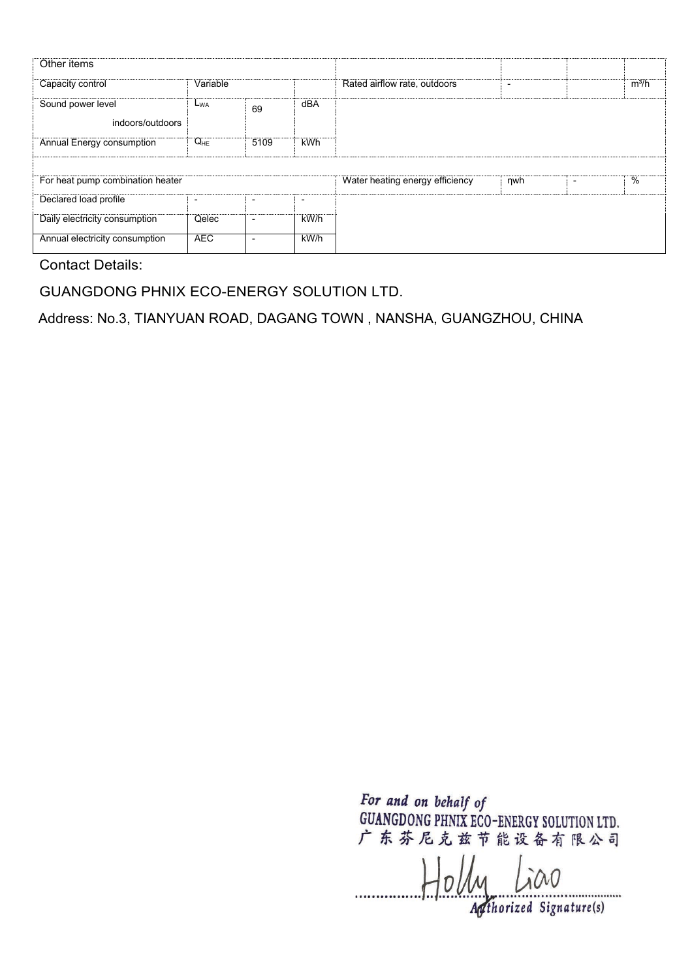| Other items                           |                          |                          |                          |                                 |     |         |
|---------------------------------------|--------------------------|--------------------------|--------------------------|---------------------------------|-----|---------|
| Capacity control                      | Variable                 |                          |                          | Rated airflow rate, outdoors    | ٠   | $m^3/h$ |
| Sound power level<br>indoors/outdoors | $L_{WA}$                 | 69                       | dBA                      |                                 |     |         |
| Annual Energy consumption             | $Q_{HE}$                 | 5109                     | <b>kWh</b>               |                                 |     |         |
|                                       |                          |                          |                          |                                 |     |         |
| For heat pump combination heater      |                          |                          |                          | Water heating energy efficiency | nwh | %       |
| Declared load profile                 | $\overline{\phantom{0}}$ | $\overline{\phantom{0}}$ | $\overline{\phantom{0}}$ |                                 |     |         |
| Daily electricity consumption         | Qelec                    | $\overline{\phantom{a}}$ | kW/h                     |                                 |     |         |
| Annual electricity consumption        | <b>AEC</b>               | $\overline{\phantom{0}}$ | $k$ W/h                  |                                 |     |         |

GUANGDONG PHNIX ECO-ENERGY SOLUTION LTD.

Address: No.3, TIANYUAN ROAD, DAGANG TOWN , NANSHA, GUANGZHOU, CHINA

 $H_0$ *ly Lico*  $\frac{1}{\sqrt{2\pi}}$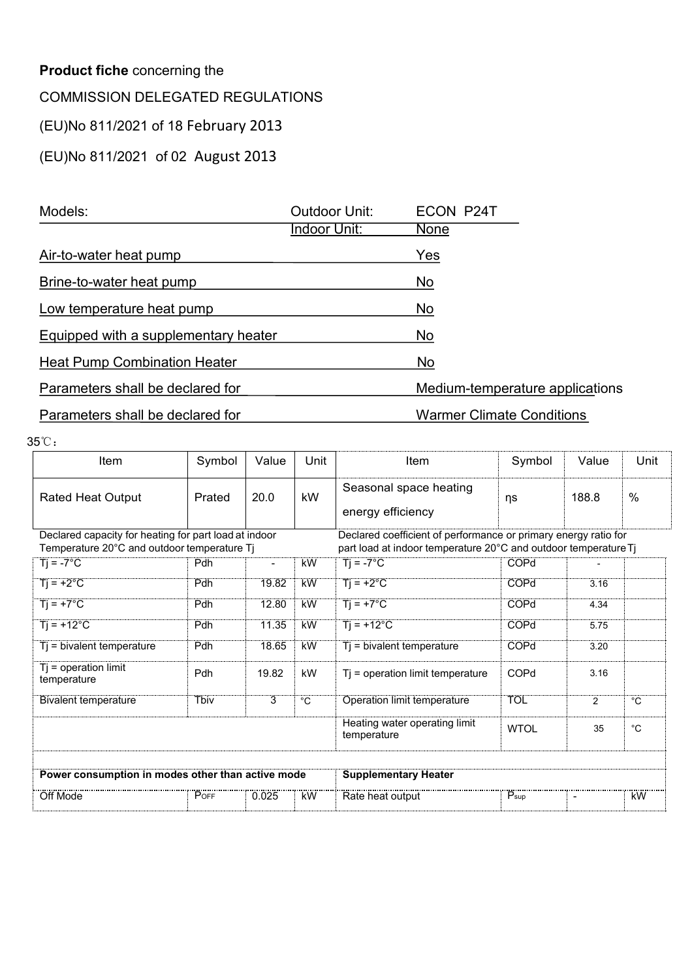| <b>Product fiche concerning the</b>     |        |       |                      |                             |                                  |       |      |
|-----------------------------------------|--------|-------|----------------------|-----------------------------|----------------------------------|-------|------|
| <b>COMMISSION DELEGATED REGULATIONS</b> |        |       |                      |                             |                                  |       |      |
| (EU)No 811/2021 of 18 February 2013     |        |       |                      |                             |                                  |       |      |
| (EU)No 811/2021 of 02 August 2013       |        |       |                      |                             |                                  |       |      |
|                                         |        |       |                      |                             |                                  |       |      |
| Models:                                 |        |       | <b>Outdoor Unit:</b> | ECON P24T                   |                                  |       |      |
|                                         |        |       | Indoor Unit:         | <b>None</b>                 |                                  |       |      |
| Air-to-water heat pump                  |        |       |                      | Yes                         |                                  |       |      |
| Brine-to-water heat pump                |        |       |                      | No                          |                                  |       |      |
| Low temperature heat pump               |        |       |                      | <b>No</b>                   |                                  |       |      |
| Equipped with a supplementary heater    |        |       |                      | <b>No</b>                   |                                  |       |      |
| <b>Heat Pump Combination Heater</b>     |        |       |                      | No                          |                                  |       |      |
| Parameters shall be declared for        |        |       |                      |                             | Medium-temperature applications  |       |      |
| Parameters shall be declared for        |        |       |                      |                             | <b>Warmer Climate Conditions</b> |       |      |
| 5℃.                                     |        |       |                      |                             |                                  |       |      |
| Item                                    | Symbol | Value | Unit                 | Item                        | Symbol                           | Value | Unit |
|                                         |        |       |                      | Organization and the office |                                  |       |      |

| Equipped with a supplementary heater                                                                 |             |                |                | No                                                                                                                                 |                  |                |                   |  |  |  |
|------------------------------------------------------------------------------------------------------|-------------|----------------|----------------|------------------------------------------------------------------------------------------------------------------------------------|------------------|----------------|-------------------|--|--|--|
| <b>Heat Pump Combination Heater</b>                                                                  |             |                |                | No                                                                                                                                 |                  |                |                   |  |  |  |
| Parameters shall be declared for                                                                     |             |                |                | Medium-temperature applications                                                                                                    |                  |                |                   |  |  |  |
| Parameters shall be declared for                                                                     |             |                |                | <b>Warmer Climate Conditions</b>                                                                                                   |                  |                |                   |  |  |  |
| 35°C:                                                                                                |             |                |                |                                                                                                                                    |                  |                |                   |  |  |  |
| Item                                                                                                 | Symbol      | Value          | Unit           | Item                                                                                                                               | Symbol           | Value          | Unit              |  |  |  |
| <b>Rated Heat Output</b>                                                                             | Prated      | 20.0           | kW             | Seasonal space heating<br>energy efficiency                                                                                        | ηs               | 188.8          | $\%$              |  |  |  |
| Declared capacity for heating for part load at indoor<br>Temperature 20°C and outdoor temperature Tj |             |                |                | Declared coefficient of performance or primary energy ratio for<br>part load at indoor temperature 20°C and outdoor temperature Tj |                  |                |                   |  |  |  |
| $\overline{T}$ = -7°C                                                                                | Pdh         | $\blacksquare$ | <b>kW</b>      | $Ti = -7^{\circ}C$                                                                                                                 | COPd             |                |                   |  |  |  |
| $Ti = +2°C$                                                                                          | Pdh         | 19.82          | <b>kW</b>      | $Tj = +2°C$                                                                                                                        | COPd             | 3.16           |                   |  |  |  |
| $Ti = +7^{\circ}C$                                                                                   | Pdh         | 12.80          | <b>kW</b>      | $Ti = +7^{\circ}C$                                                                                                                 | COPd             | 4.34           |                   |  |  |  |
| $Ti = +12^{\circ}C$                                                                                  | Pdh         | 11.35          | <b>kW</b>      | $Ti = +12^{\circ}C$                                                                                                                | COPd             | 5.75           |                   |  |  |  |
| Tj = bivalent temperature                                                                            | Pdh         | 18.65          | <b>kW</b>      | Tj = bivalent temperature                                                                                                          | COPd             | 3.20           |                   |  |  |  |
| $Tj = operation$ limit<br>temperature                                                                | Pdh         | 19.82          | kW             | Tj = operation limit temperature                                                                                                   | COPd             | 3.16           |                   |  |  |  |
| <b>Bivalent temperature</b>                                                                          | <b>Tbiv</b> | $\overline{3}$ | $\overline{C}$ | <b>Operation limit temperature</b>                                                                                                 | <b>TOL</b>       | $\overline{2}$ | $\overline{C}$    |  |  |  |
|                                                                                                      |             |                |                | Heating water operating limit<br>temperature                                                                                       | <b>WTOL</b>      | 35             | $^{\circ}{\rm C}$ |  |  |  |
| Power consumption in modes other than active mode                                                    |             |                |                | <b>Supplementary Heater</b>                                                                                                        |                  |                |                   |  |  |  |
|                                                                                                      | POFF        | 0.025          |                | <br>Rate heat output                                                                                                               | $P_{\text{sup}}$ | $\blacksquare$ | <b>kW</b>         |  |  |  |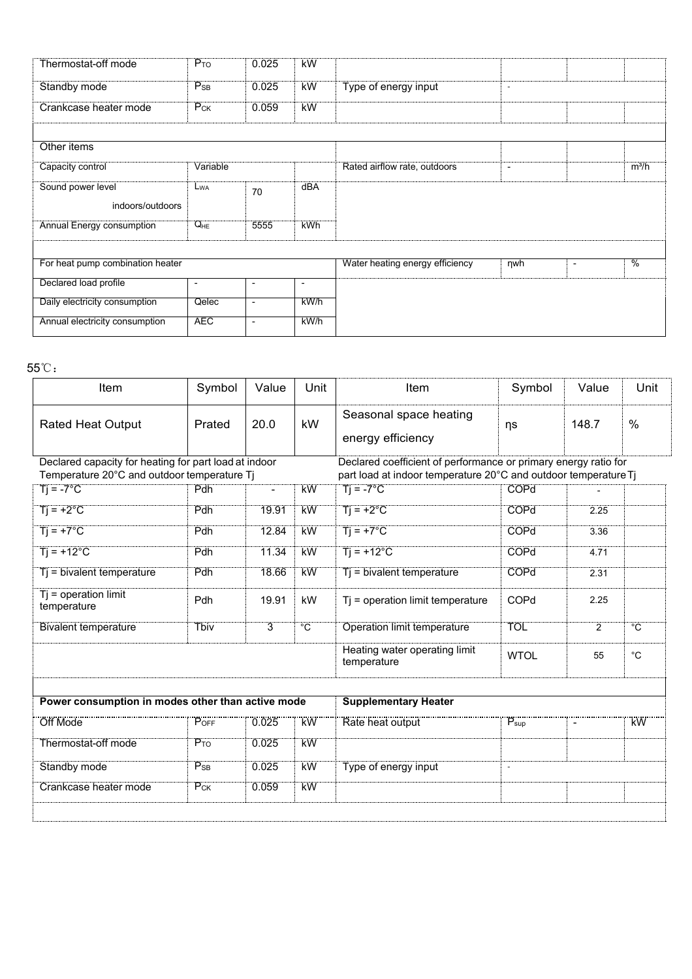| Thermostat-off mode              | $P_{TO}$                 | 0.025          | <b>kW</b>                |                                 |                          |                                           |
|----------------------------------|--------------------------|----------------|--------------------------|---------------------------------|--------------------------|-------------------------------------------|
| Standby mode                     | $P_{SB}$                 | 0.025          | <b>kW</b>                | Type of energy input            | $\sim$                   |                                           |
| Crankcase heater mode            | $P_{CK}$                 | 0.059          | kW                       |                                 |                          |                                           |
|                                  |                          |                |                          |                                 |                          |                                           |
| Other items                      |                          |                |                          |                                 |                          |                                           |
| Capacity control                 | Variable                 |                |                          | Rated airflow rate, outdoors    | $\overline{\phantom{a}}$ | $m^3/h$                                   |
| Sound power level                | L <sub>WA</sub>          |                | dBA                      |                                 |                          |                                           |
| indoors/outdoors                 |                          | 70             |                          |                                 |                          |                                           |
| <b>Annual Energy consumption</b> | $Q_{HE}$                 | 5555           | <b>kWh</b>               |                                 |                          |                                           |
|                                  |                          |                |                          |                                 |                          |                                           |
| For heat pump combination heater |                          |                |                          | Water heating energy efficiency | $\n  ny$                 | $\frac{0}{6}$<br>$\overline{\phantom{a}}$ |
|                                  |                          |                |                          |                                 |                          |                                           |
| Declared load profile            | $\overline{\phantom{a}}$ | $\blacksquare$ | $\overline{\phantom{a}}$ |                                 |                          |                                           |
| Daily electricity consumption    | Qelec                    | $\blacksquare$ | kWh                      |                                 |                          |                                           |
| Annual electricity consumption   | <b>AEC</b>               | $\mathbf{r}$   | kW/h                     |                                 |                          |                                           |

| For heat pump combination heater                                  |                          |                          |                | Water heating energy efficiency                                                       | nwh                 | $\blacksquare$ | $\overline{\frac{0}{0}}$ |
|-------------------------------------------------------------------|--------------------------|--------------------------|----------------|---------------------------------------------------------------------------------------|---------------------|----------------|--------------------------|
| Declared load profile                                             | $\overline{\phantom{a}}$ | $\sim$                   | $\blacksquare$ |                                                                                       |                     |                |                          |
| Daily electricity consumption                                     | Qelec                    | $\overline{\phantom{a}}$ | $k$ W/h        |                                                                                       |                     |                |                          |
| Annual electricity consumption                                    | <b>AEC</b>               | $\overline{\phantom{a}}$ | kW/h           |                                                                                       |                     |                |                          |
|                                                                   |                          |                          |                |                                                                                       |                     |                |                          |
| $5^{\circ}\mathrm{C}$ :                                           |                          |                          |                |                                                                                       |                     |                |                          |
| Item                                                              | Symbol                   | Value                    | Unit           | Item                                                                                  | Symbol              | Value          | Unit                     |
| <b>Rated Heat Output</b>                                          | Prated                   | 20.0                     | kW             | Seasonal space heating<br>energy efficiency                                           | ηs                  | 148.7          | $\%$                     |
| Declared capacity for heating for part load at indoor             |                          |                          |                | Declared coefficient of performance or primary energy ratio for                       |                     |                |                          |
| Temperature 20°C and outdoor temperature Tj<br>$Ti = -7^{\circ}C$ | Pdh                      | $\overline{\phantom{a}}$ | kW             | part load at indoor temperature 20°C and outdoor temperature Tj<br>$Tj = -7^{\circ}C$ | <b>COPd</b>         |                |                          |
|                                                                   |                          |                          |                |                                                                                       |                     |                |                          |
| $Ti = +2^{\circ}C$                                                | Pdh                      | 19.91                    | <b>kW</b>      | $Ti = +2^{\circ}C$                                                                    | COPd                | 2.25           |                          |
| $Ti = +7^{\circ}C$                                                | Pdh                      | 12.84                    | kW             | $Ti = +7^{\circ}C$                                                                    | COPd                | 3.36           |                          |
| $Ti = +12^{\circ}C$                                               | Pdh                      | 11.34                    | <b>kW</b>      | $Ti = +12^{\circ}C$                                                                   | <b>COPd</b><br>4.71 |                |                          |
| $Tj = bivalent temperature$                                       | Pdh                      | 18.66                    | <b>kW</b>      | Tj = bivalent temperature                                                             | COPd                | 2.31           |                          |
| $Tj = operation$ limit<br>temperature                             | Pdh                      | 19.91                    | kW             | Tj = operation limit temperature                                                      | COPd<br>2.25        |                |                          |
| <b>Bivalent temperature</b>                                       | <b>Tbiv</b>              | $\overline{3}$           | $\overline{C}$ | <b>Operation limit temperature</b>                                                    | <b>TOL</b>          | $\overline{2}$ | $^{\circ}C$              |
|                                                                   |                          |                          |                | Heating water operating limit<br>temperature                                          | <b>WTOL</b>         | 55             | $^{\circ}C$              |
|                                                                   |                          |                          |                |                                                                                       |                     |                |                          |
| Power consumption in modes other than active mode                 |                          |                          |                | <b>Supplementary Heater</b>                                                           |                     |                |                          |
| <br>Off Mode                                                      | POFF                     | $\overline{0.025}$       | <br>KW         | Rate heat output                                                                      | $P_{\mathsf{sup}}$  | $\blacksquare$ | <br>kW                   |
| Thermostat-off mode                                               | $P_{TO}$                 | 0.025                    | <b>kW</b>      |                                                                                       |                     |                |                          |
| Standby mode                                                      | $P_{SB}$                 | 0.025                    | <b>kW</b>      | Type of energy input                                                                  | $\omega$            |                |                          |
| <b>Crankcase heater mode</b>                                      | $P_{CK}$                 | 0.059                    | <b>kW</b>      |                                                                                       |                     |                |                          |